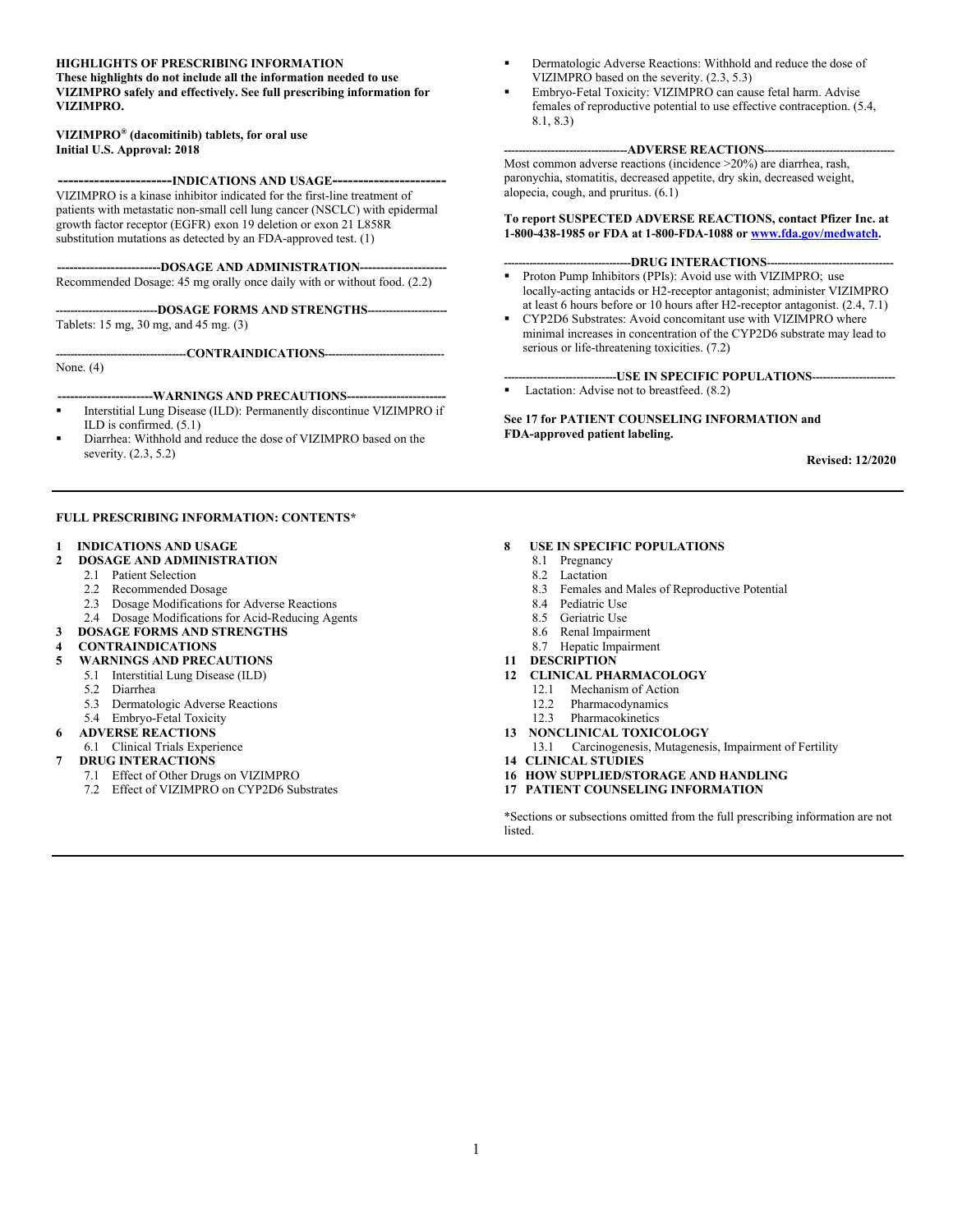#### **HIGHLIGHTS OF PRESCRIBING INFORMATION**

**These highlights do not include all the information needed to use VIZIMPRO safely and effectively. See full prescribing information for VIZIMPRO.**

#### **VIZIMPRO® (dacomitinib) tablets, for oral use Initial U.S. Approval: 2018**

**----------------------INDICATIONS AND USAGE----------------------**

VIZIMPRO is a kinase inhibitor indicated for the first-line treatment of patients with metastatic non-small cell lung cancer (NSCLC) with epidermal growth factor receptor (EGFR) exon 19 deletion or exon 21 L858R substitution mutations as detected by an FDA-approved test. (1)

----DOSAGE AND ADMINISTRATION--

Recommended Dosage: 45 mg orally once daily with or without food. (2.2)

**----------------------------DOSAGE FORMS AND STRENGTHS----------------------** Tablets: 15 mg, 30 mg, and 45 mg. (3)

**------------------------------------CONTRAINDICATIONS---------------------------------**

None. (4)

#### **-----------------------WARNINGS AND PRECAUTIONS------------------------**

- Interstitial Lung Disease (ILD): Permanently discontinue VIZIMPRO if ILD is confirmed. (5.1)
- Diarrhea: Withhold and reduce the dose of VIZIMPRO based on the severity. (2.3, 5.2)

#### **FULL PRESCRIBING INFORMATION: CONTENTS\***

#### **1 INDICATIONS AND USAGE**

- **2 DOSAGE AND ADMINISTRATION**
	- 2.1 Patient Selection
	- 2.2 Recommended Dosage
	- 2.3 Dosage Modifications for Adverse Reactions
	- 2.4 Dosage Modifications for Acid-Reducing Agents
- **3 DOSAGE FORMS AND STRENGTHS**

#### **4 CONTRAINDICATIONS**

- **5 WARNINGS AND PRECAUTIONS**
	- 5.1 Interstitial Lung Disease (ILD)
	- 5.2 Diarrhea
	- 5.3 Dermatologic Adverse Reactions
	- 5.4 Embryo-Fetal Toxicity

#### **6 ADVERSE REACTIONS**

- 6.1 Clinical Trials Experience
- **7 DRUG INTERACTIONS**
	- 7.1 Effect of Other Drugs on VIZIMPRO
	- 7.2 Effect of VIZIMPRO on CYP2D6 Substrates
- Dermatologic Adverse Reactions: Withhold and reduce the dose of VIZIMPRO based on the severity. (2.3, 5.3)
- Embryo-Fetal Toxicity: VIZIMPRO can cause fetal harm. Advise females of reproductive potential to use effective contraception. (5.4, 8.1, 8.3)

#### **----------------------------------ADVERSE REACTIONS------------------------------------**

Most common adverse reactions (incidence >20%) are diarrhea, rash, paronychia, stomatitis, decreased appetite, dry skin, decreased weight, alopecia, cough, and pruritus. (6.1)

**To report SUSPECTED ADVERSE REACTIONS, contact Pfizer Inc. at 1-800-438-1985 or FDA at 1-800-FDA-1088 or [www.fda.gov/medwatch](http://www.fda.gov/medwatch).**

#### **-----------------------------------DRUG INTERACTIONS-----------------------------------**

- Proton Pump Inhibitors (PPIs): Avoid use with VIZIMPRO; use locally-acting antacids or H2-receptor antagonist; administer VIZIMPRO at least 6 hours before or 10 hours after H2-receptor antagonist. (2.4, 7.1)
- CYP2D6 Substrates: Avoid concomitant use with VIZIMPRO where minimal increases in concentration of the CYP2D6 substrate may lead to serious or life-threatening toxicities. (7.2)

#### **-------------------------------USE IN SPECIFIC POPULATIONS-----------------------**

Lactation: Advise not to breastfeed. (8.2)

**See 17 for PATIENT COUNSELING INFORMATION and FDA-approved patient labeling.**

**Revised: 12/2020**

#### **8 USE IN SPECIFIC POPULATIONS**

- 8.1 Pregnancy
- 8.2 Lactation
- 8.3 Females and Males of Reproductive Potential
- 8.4 Pediatric Use
- 8.5 Geriatric Use
- 8.6 Renal Impairment
- 8.7 Hepatic Impairment
- **11 DESCRIPTION**

#### **12 CLINICAL PHARMACOLOGY**

- 12.1 Mechanism of Action
- 
- 12.2 Pharmacodynamics<br>12.3 Pharmacokinetics Pharmacokinetics
- **13 NONCLINICAL TOXICOLOGY**
- 13.1 Carcinogenesis, Mutagenesis, Impairment of Fertility
- **14 CLINICAL STUDIES**
- **16 HOW SUPPLIED/STORAGE AND HANDLING**
- **17 PATIENT COUNSELING INFORMATION**

\*Sections or subsections omitted from the full prescribing information are not listed.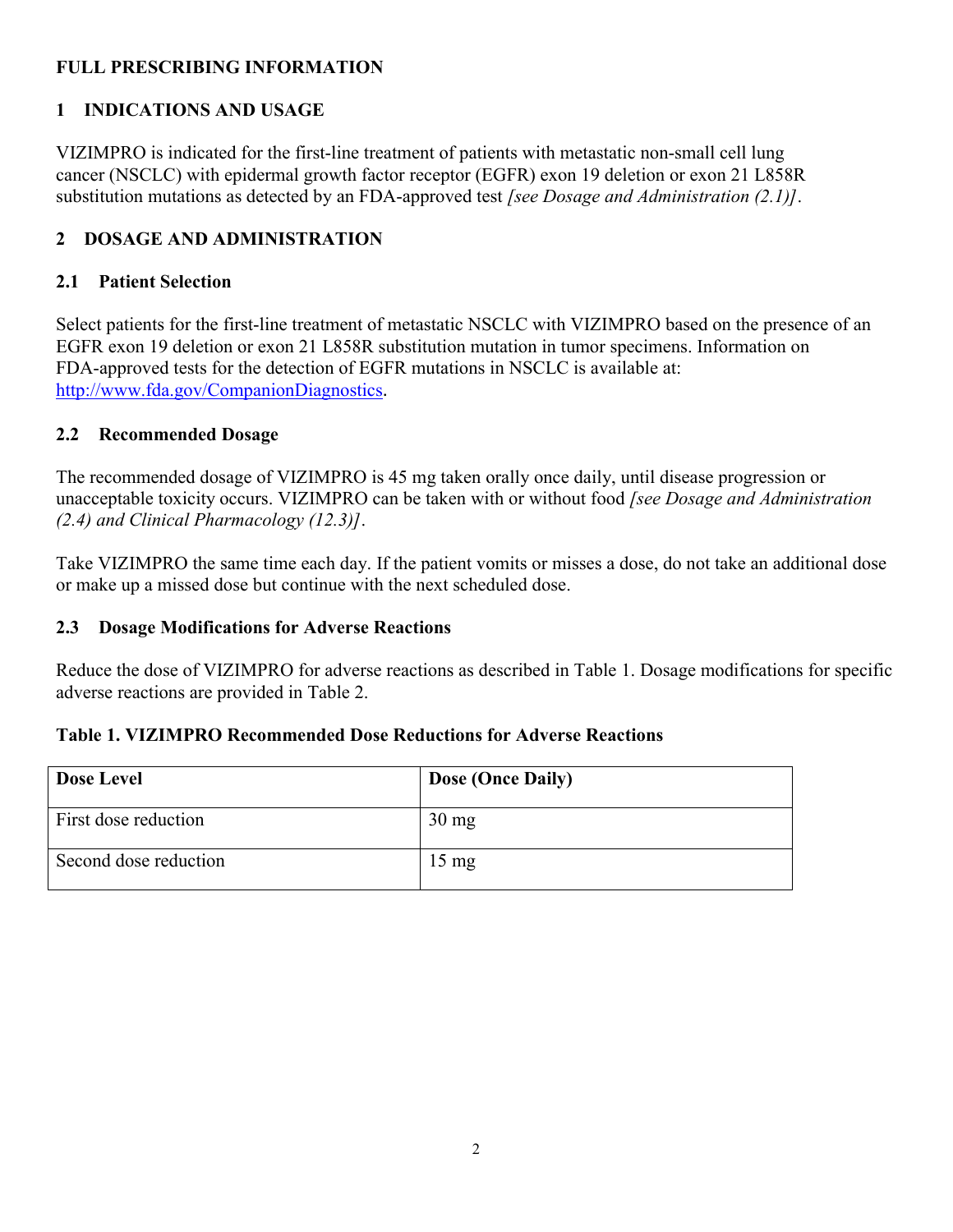## **FULL PRESCRIBING INFORMATION**

## **1 INDICATIONS AND USAGE**

VIZIMPRO is indicated for the first-line treatment of patients with metastatic non-small cell lung cancer (NSCLC) with epidermal growth factor receptor (EGFR) exon 19 deletion or exon 21 L858R substitution mutations as detected by an FDA-approved test *[see Dosage and Administration (2.1)]*.

### **2 DOSAGE AND ADMINISTRATION**

#### **2.1 Patient Selection**

Select patients for the first-line treatment of metastatic NSCLC with VIZIMPRO based on the presence of an EGFR exon 19 deletion or exon 21 L858R substitution mutation in tumor specimens. Information on FDA-approved tests for the detection of EGFR mutations in NSCLC is available at: <http://www.fda.gov/CompanionDiagnostics>.

#### **2.2 Recommended Dosage**

The recommended dosage of VIZIMPRO is 45 mg taken orally once daily, until disease progression or unacceptable toxicity occurs. VIZIMPRO can be taken with or without food *[see Dosage and Administration (2.4) and Clinical Pharmacology (12.3)]*.

Take VIZIMPRO the same time each day. If the patient vomits or misses a dose, do not take an additional dose or make up a missed dose but continue with the next scheduled dose.

#### **2.3 Dosage Modifications for Adverse Reactions**

Reduce the dose of VIZIMPRO for adverse reactions as described in Table 1. Dosage modifications for specific adverse reactions are provided in Table 2.

#### **Table 1. VIZIMPRO Recommended Dose Reductions for Adverse Reactions**

| <b>Dose Level</b>     | <b>Dose (Once Daily)</b> |
|-----------------------|--------------------------|
| First dose reduction  | $30 \text{ mg}$          |
| Second dose reduction | $15 \text{ mg}$          |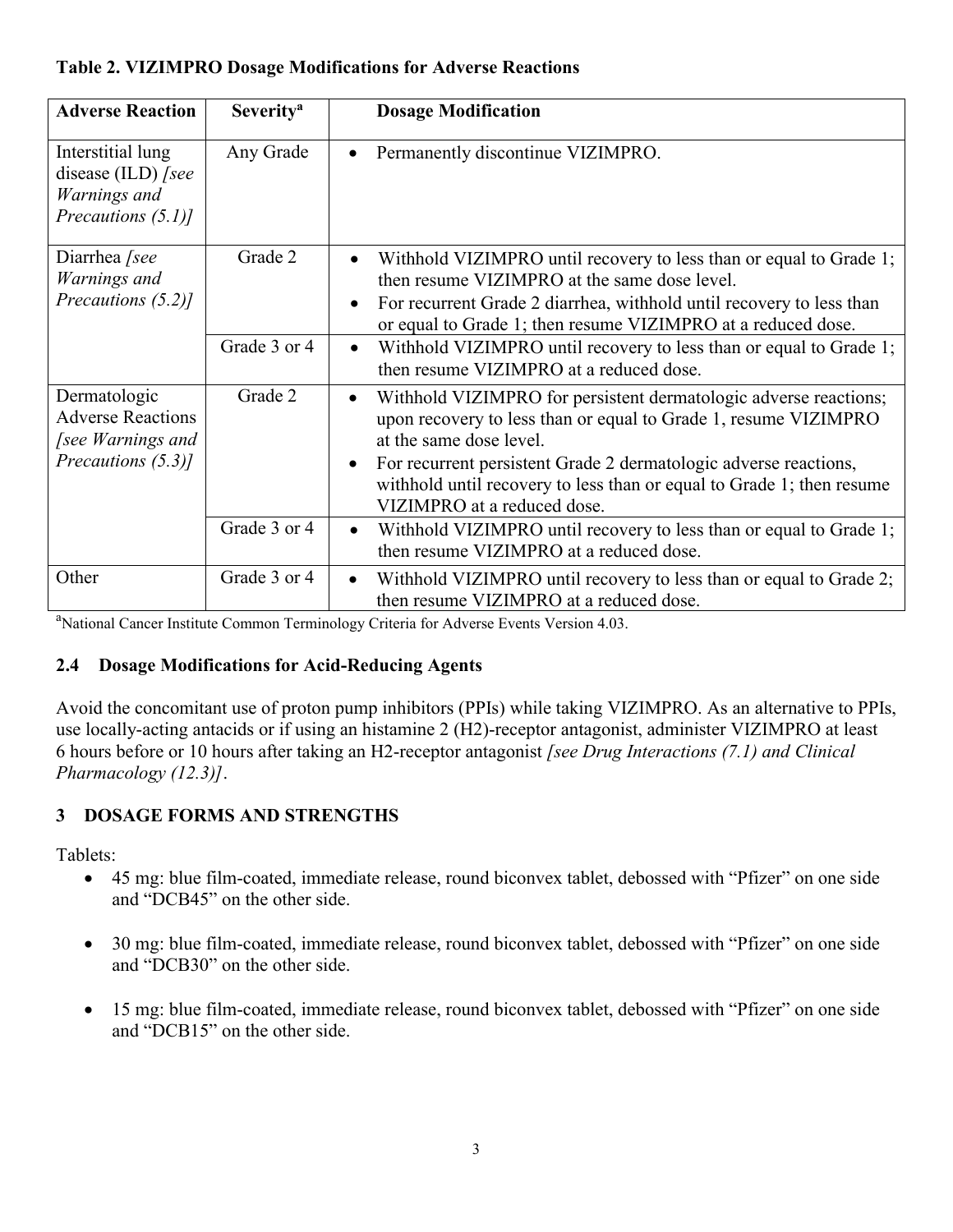### **Table 2. VIZIMPRO Dosage Modifications for Adverse Reactions**

| <b>Adverse Reaction</b>                                                             | <b>Severity<sup>a</sup></b> | <b>Dosage Modification</b>                                                                                                                                                                                                                                                                                                                                           |
|-------------------------------------------------------------------------------------|-----------------------------|----------------------------------------------------------------------------------------------------------------------------------------------------------------------------------------------------------------------------------------------------------------------------------------------------------------------------------------------------------------------|
| Interstitial lung<br>disease (ILD) [see<br>Warnings and<br>Precautions (5.1)]       | Any Grade                   | Permanently discontinue VIZIMPRO.<br>$\bullet$                                                                                                                                                                                                                                                                                                                       |
| Diarrhea [see<br>Warnings and<br>Precautions (5.2)]                                 | Grade 2                     | Withhold VIZIMPRO until recovery to less than or equal to Grade 1;<br>then resume VIZIMPRO at the same dose level.<br>For recurrent Grade 2 diarrhea, withhold until recovery to less than<br>or equal to Grade 1; then resume VIZIMPRO at a reduced dose.                                                                                                           |
|                                                                                     | Grade 3 or 4                | Withhold VIZIMPRO until recovery to less than or equal to Grade 1;<br>$\bullet$<br>then resume VIZIMPRO at a reduced dose.                                                                                                                                                                                                                                           |
| Dermatologic<br><b>Adverse Reactions</b><br>[see Warnings and<br>Precautions (5.3)] | Grade 2                     | Withhold VIZIMPRO for persistent dermatologic adverse reactions;<br>$\bullet$<br>upon recovery to less than or equal to Grade 1, resume VIZIMPRO<br>at the same dose level.<br>For recurrent persistent Grade 2 dermatologic adverse reactions,<br>$\bullet$<br>withhold until recovery to less than or equal to Grade 1; then resume<br>VIZIMPRO at a reduced dose. |
|                                                                                     | Grade 3 or 4                | Withhold VIZIMPRO until recovery to less than or equal to Grade 1;<br>$\bullet$<br>then resume VIZIMPRO at a reduced dose.                                                                                                                                                                                                                                           |
| Other                                                                               | Grade 3 or 4                | Withhold VIZIMPRO until recovery to less than or equal to Grade 2;<br>$\bullet$<br>then resume VIZIMPRO at a reduced dose.                                                                                                                                                                                                                                           |

<sup>a</sup>National Cancer Institute Common Terminology Criteria for Adverse Events Version 4.03.

## **2.4 Dosage Modifications for Acid-Reducing Agents**

Avoid the concomitant use of proton pump inhibitors (PPIs) while taking VIZIMPRO. As an alternative to PPIs, use locally-acting antacids or if using an histamine 2 (H2)-receptor antagonist, administer VIZIMPRO at least 6 hours before or 10 hours after taking an H2-receptor antagonist *[see Drug Interactions (7.1) and Clinical Pharmacology (12.3)]*.

# **3 DOSAGE FORMS AND STRENGTHS**

Tablets:

- 45 mg: blue film-coated, immediate release, round biconvex tablet, debossed with "Pfizer" on one side and "DCB45" on the other side.
- 30 mg: blue film-coated, immediate release, round biconvex tablet, debossed with "Pfizer" on one side and "DCB30" on the other side.
- 15 mg: blue film-coated, immediate release, round biconvex tablet, debossed with "Pfizer" on one side and "DCB15" on the other side.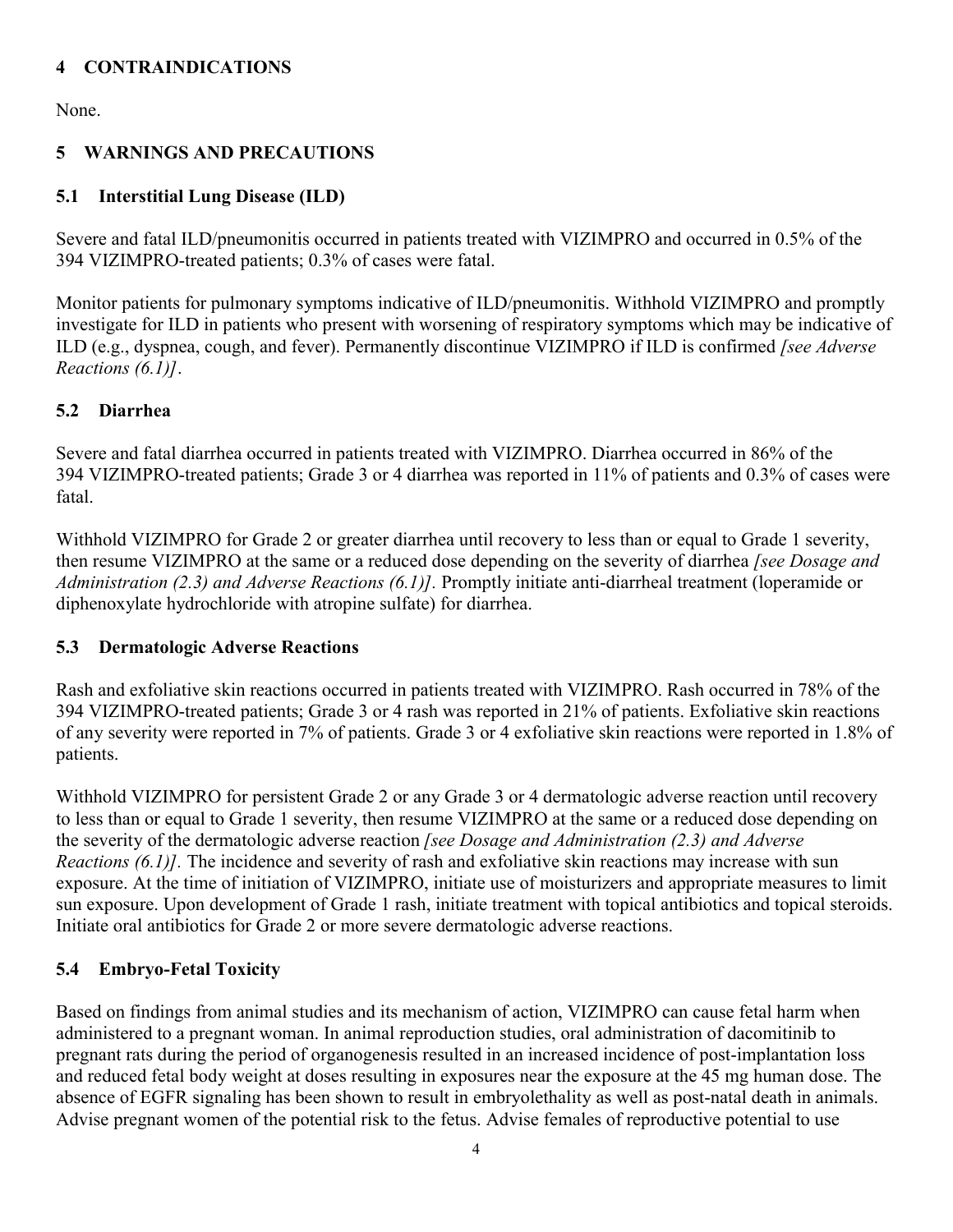## **4 CONTRAINDICATIONS**

None.

# **5 WARNINGS AND PRECAUTIONS**

# **5.1 Interstitial Lung Disease (ILD)**

Severe and fatal ILD/pneumonitis occurred in patients treated with VIZIMPRO and occurred in 0.5% of the 394 VIZIMPRO-treated patients; 0.3% of cases were fatal.

Monitor patients for pulmonary symptoms indicative of ILD/pneumonitis. Withhold VIZIMPRO and promptly investigate for ILD in patients who present with worsening of respiratory symptoms which may be indicative of ILD (e.g., dyspnea, cough, and fever). Permanently discontinue VIZIMPRO if ILD is confirmed *[see Adverse Reactions (6.1)]*.

## **5.2 Diarrhea**

Severe and fatal diarrhea occurred in patients treated with VIZIMPRO. Diarrhea occurred in 86% of the 394 VIZIMPRO-treated patients; Grade 3 or 4 diarrhea was reported in 11% of patients and 0.3% of cases were fatal.

Withhold VIZIMPRO for Grade 2 or greater diarrhea until recovery to less than or equal to Grade 1 severity, then resume VIZIMPRO at the same or a reduced dose depending on the severity of diarrhea *[see Dosage and Administration (2.3) and Adverse Reactions (6.1)].* Promptly initiate anti-diarrheal treatment (loperamide or diphenoxylate hydrochloride with atropine sulfate) for diarrhea.

## **5.3 Dermatologic Adverse Reactions**

Rash and exfoliative skin reactions occurred in patients treated with VIZIMPRO. Rash occurred in 78% of the 394 VIZIMPRO-treated patients; Grade 3 or 4 rash was reported in 21% of patients. Exfoliative skin reactions of any severity were reported in 7% of patients. Grade 3 or 4 exfoliative skin reactions were reported in 1.8% of patients.

Withhold VIZIMPRO for persistent Grade 2 or any Grade 3 or 4 dermatologic adverse reaction until recovery to less than or equal to Grade 1 severity, then resume VIZIMPRO at the same or a reduced dose depending on the severity of the dermatologic adverse reaction *[see Dosage and Administration (2.3) and Adverse Reactions (6.1)].* The incidence and severity of rash and exfoliative skin reactions may increase with sun exposure. At the time of initiation of VIZIMPRO, initiate use of moisturizers and appropriate measures to limit sun exposure. Upon development of Grade 1 rash, initiate treatment with topical antibiotics and topical steroids. Initiate oral antibiotics for Grade 2 or more severe dermatologic adverse reactions.

## **5.4 Embryo-Fetal Toxicity**

Based on findings from animal studies and its mechanism of action, VIZIMPRO can cause fetal harm when administered to a pregnant woman. In animal reproduction studies, oral administration of dacomitinib to pregnant rats during the period of organogenesis resulted in an increased incidence of post-implantation loss and reduced fetal body weight at doses resulting in exposures near the exposure at the 45 mg human dose. The absence of EGFR signaling has been shown to result in embryolethality as well as post-natal death in animals. Advise pregnant women of the potential risk to the fetus. Advise females of reproductive potential to use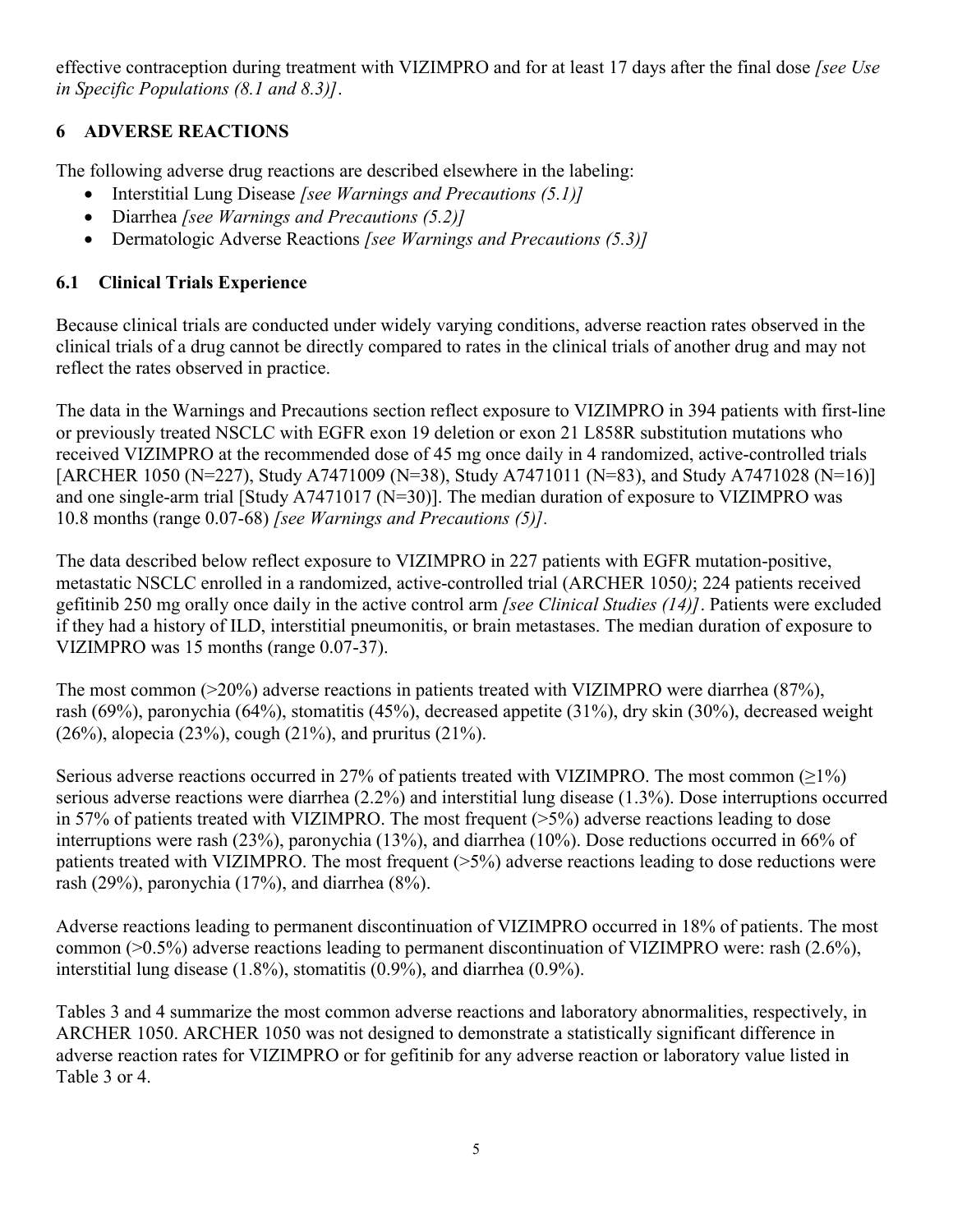effective contraception during treatment with VIZIMPRO and for at least 17 days after the final dose *[see Use in Specific Populations (8.1 and 8.3)]*.

# **6 ADVERSE REACTIONS**

The following adverse drug reactions are described elsewhere in the labeling:

- Interstitial Lung Disease *[see Warnings and Precautions (5.1)]*
- Diarrhea *[see Warnings and Precautions (5.2)]*
- Dermatologic Adverse Reactions *[see Warnings and Precautions (5.3)]*

# **6.1 Clinical Trials Experience**

Because clinical trials are conducted under widely varying conditions, adverse reaction rates observed in the clinical trials of a drug cannot be directly compared to rates in the clinical trials of another drug and may not reflect the rates observed in practice.

The data in the Warnings and Precautions section reflect exposure to VIZIMPRO in 394 patients with first-line or previously treated NSCLC with EGFR exon 19 deletion or exon 21 L858R substitution mutations who received VIZIMPRO at the recommended dose of 45 mg once daily in 4 randomized, active-controlled trials [ARCHER 1050 (N=227), Study A7471009 (N=38), Study A7471011 (N=83), and Study A7471028 (N=16)] and one single-arm trial [Study A7471017 (N=30)]. The median duration of exposure to VIZIMPRO was 10.8 months (range 0.07-68) *[see Warnings and Precautions (5)].*

The data described below reflect exposure to VIZIMPRO in 227 patients with EGFR mutation-positive, metastatic NSCLC enrolled in a randomized, active-controlled trial (ARCHER 1050*)*; 224 patients received gefitinib 250 mg orally once daily in the active control arm *[see Clinical Studies (14)]*. Patients were excluded if they had a history of ILD, interstitial pneumonitis, or brain metastases. The median duration of exposure to VIZIMPRO was 15 months (range 0.07-37).

The most common (>20%) adverse reactions in patients treated with VIZIMPRO were diarrhea (87%), rash (69%), paronychia (64%), stomatitis (45%), decreased appetite (31%), dry skin (30%), decreased weight (26%), alopecia (23%), cough (21%), and pruritus (21%).

Serious adverse reactions occurred in 27% of patients treated with VIZIMPRO. The most common (≥1%) serious adverse reactions were diarrhea (2.2%) and interstitial lung disease (1.3%). Dose interruptions occurred in 57% of patients treated with VIZIMPRO. The most frequent (>5%) adverse reactions leading to dose interruptions were rash (23%), paronychia (13%), and diarrhea (10%). Dose reductions occurred in 66% of patients treated with VIZIMPRO. The most frequent  $(>=5\%)$  adverse reactions leading to dose reductions were rash (29%), paronychia (17%), and diarrhea (8%).

Adverse reactions leading to permanent discontinuation of VIZIMPRO occurred in 18% of patients. The most common (>0.5%) adverse reactions leading to permanent discontinuation of VIZIMPRO were: rash (2.6%), interstitial lung disease (1.8%), stomatitis (0.9%), and diarrhea (0.9%).

Tables 3 and 4 summarize the most common adverse reactions and laboratory abnormalities, respectively, in ARCHER 1050. ARCHER 1050 was not designed to demonstrate a statistically significant difference in adverse reaction rates for VIZIMPRO or for gefitinib for any adverse reaction or laboratory value listed in Table 3 or 4.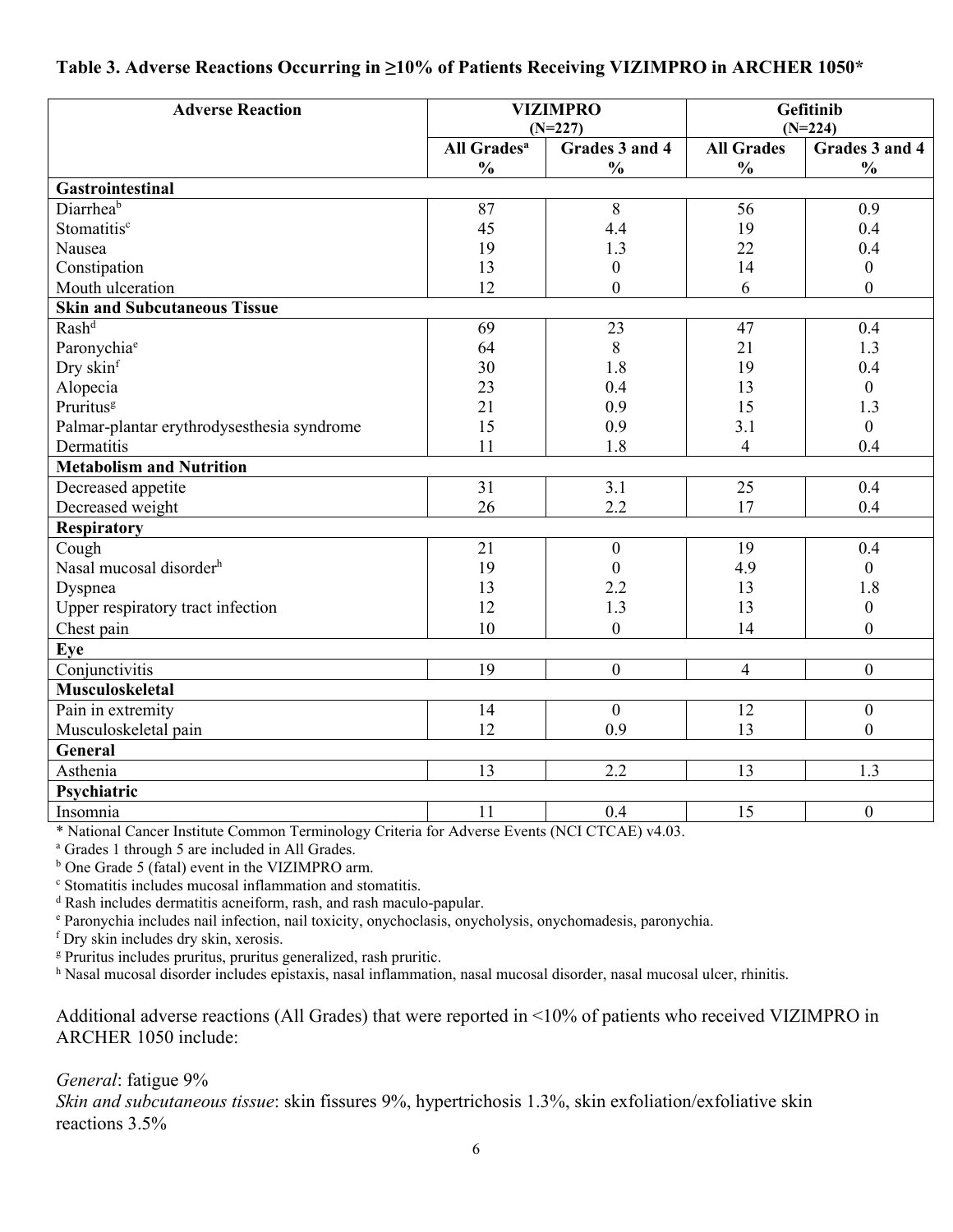### **Table 3. Adverse Reactions Occurring in ≥10% of Patients Receiving VIZIMPRO in ARCHER 1050\***

| <b>Adverse Reaction</b>                                                 | <b>VIZIMPRO</b><br>$(N=227)$         |                                          | Gefitinib<br>$(N=224)$ |                  |
|-------------------------------------------------------------------------|--------------------------------------|------------------------------------------|------------------------|------------------|
|                                                                         | All Grades <sup>a</sup>              | Grades 3 and 4                           | <b>All Grades</b>      | Grades 3 and 4   |
|                                                                         | $\frac{0}{0}$                        | $\frac{0}{0}$                            | $\frac{0}{0}$          | $\frac{0}{0}$    |
| Gastrointestinal                                                        |                                      |                                          |                        |                  |
| Diarrheab                                                               | 87                                   | 8                                        | 56                     | 0.9              |
| Stomatitis <sup>c</sup>                                                 | 45                                   | 4.4                                      | 19                     | 0.4              |
| Nausea                                                                  | 19                                   | 1.3                                      | 22                     | 0.4              |
| Constipation                                                            | 13                                   | $\boldsymbol{0}$                         | 14                     | $\boldsymbol{0}$ |
| Mouth ulceration                                                        | 12                                   | $\overline{0}$                           | 6                      | $\overline{0}$   |
| <b>Skin and Subcutaneous Tissue</b>                                     |                                      |                                          |                        |                  |
| Rash <sup>d</sup>                                                       | 69                                   | 23                                       | 47                     | 0.4              |
| Paronychiae                                                             | 64                                   | 8                                        | 21                     | 1.3              |
| Dry skinf                                                               | 30                                   | 1.8                                      | 19                     | 0.4              |
| Alopecia                                                                | 23                                   | 0.4                                      | 13                     | $\overline{0}$   |
| Pruritus <sup>g</sup>                                                   | 21                                   | 0.9                                      | 15                     | 1.3              |
| Palmar-plantar erythrodysesthesia syndrome                              | 15                                   | 0.9                                      | 3.1                    | $\overline{0}$   |
| Dermatitis                                                              | 11                                   | 1.8                                      | 4                      | 0.4              |
| <b>Metabolism and Nutrition</b>                                         |                                      |                                          |                        |                  |
| Decreased appetite                                                      | 31                                   | 3.1                                      | 25                     | 0.4              |
| Decreased weight                                                        | 26                                   | 2.2                                      | 17                     | 0.4              |
| <b>Respiratory</b>                                                      |                                      |                                          |                        |                  |
| Cough                                                                   | 21                                   | $\boldsymbol{0}$                         | 19                     | 0.4              |
| Nasal mucosal disorder <sup>h</sup>                                     | 19                                   | $\theta$                                 | 4.9                    | $\overline{0}$   |
| Dyspnea                                                                 | 13                                   | 2.2                                      | 13                     | 1.8              |
| Upper respiratory tract infection                                       | 12                                   | 1.3                                      | 13                     | $\overline{0}$   |
| Chest pain                                                              | 10                                   | $\mathbf{0}$                             | 14                     | $\overline{0}$   |
| <b>Eye</b>                                                              |                                      |                                          |                        |                  |
| Conjunctivitis                                                          | $\overline{19}$                      | $\boldsymbol{0}$                         | $\overline{4}$         | $\overline{0}$   |
| Musculoskeletal                                                         |                                      |                                          |                        |                  |
| Pain in extremity                                                       | 14                                   | $\theta$                                 | 12                     | $\mathbf{0}$     |
| Musculoskeletal pain                                                    | 12                                   | 0.9                                      | 13                     | $\overline{0}$   |
| General                                                                 |                                      |                                          |                        |                  |
| Asthenia                                                                | 13                                   | 2.2                                      | 13                     | 1.3              |
| Psychiatric                                                             |                                      |                                          |                        |                  |
| Insomnia<br>$\sim$<br>$\mathbf{r}$ and $\mathbf{r}$<br>$\sim$<br>$\sim$ | 11<br>$\mathbf{r}$<br>$\blacksquare$ | 0.4<br>$\Delta$ TOT OF OUT $\Delta$ 1.00 | 15                     | $\mathbf{0}$     |

\* National Cancer Institute Common Terminology Criteria for Adverse Events (NCI CTCAE) v4.03.

<sup>a</sup> Grades 1 through 5 are included in All Grades.

<sup>b</sup> One Grade 5 (fatal) event in the VIZIMPRO arm.

<sup>c</sup> Stomatitis includes mucosal inflammation and stomatitis.

<sup>d</sup> Rash includes dermatitis acneiform, rash, and rash maculo-papular.

<sup>e</sup> Paronychia includes nail infection, nail toxicity, onychoclasis, onycholysis, onychomadesis, paronychia.

<sup>f</sup> Dry skin includes dry skin, xerosis.

<sup>g</sup> Pruritus includes pruritus, pruritus generalized, rash pruritic.

h Nasal mucosal disorder includes epistaxis, nasal inflammation, nasal mucosal disorder, nasal mucosal ulcer, rhinitis.

Additional adverse reactions (All Grades) that were reported in <10% of patients who received VIZIMPRO in ARCHER 1050 include:

#### *General*: fatigue 9%

*Skin and subcutaneous tissue*: skin fissures 9%, hypertrichosis 1.3%, skin exfoliation/exfoliative skin reactions 3.5%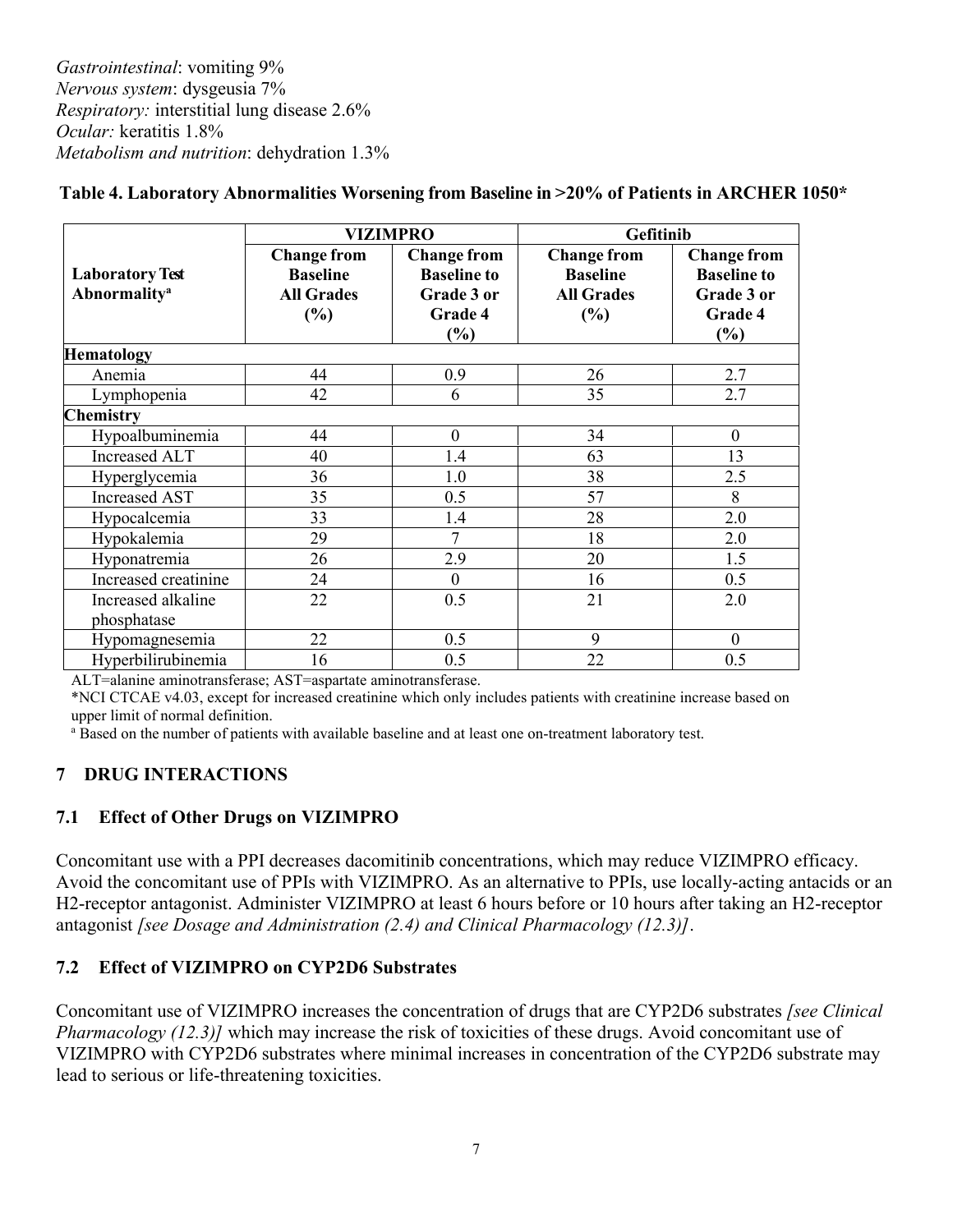*Gastrointestinal*: vomiting 9% *Nervous system*: dysgeusia 7% *Respiratory:* interstitial lung disease 2.6% *Ocular:* keratitis 1.8% *Metabolism and nutrition*: dehydration 1.3%

|                                                           |                                                                   | <b>VIZIMPRO</b>                                                             | Gefitinib                                                         |                                                                          |  |
|-----------------------------------------------------------|-------------------------------------------------------------------|-----------------------------------------------------------------------------|-------------------------------------------------------------------|--------------------------------------------------------------------------|--|
| <b>Laboratory Test</b><br><b>Abnormality</b> <sup>a</sup> | <b>Change from</b><br><b>Baseline</b><br><b>All Grades</b><br>(%) | <b>Change from</b><br><b>Baseline to</b><br>Grade 3 or<br>Grade 4<br>$(\%)$ | <b>Change from</b><br><b>Baseline</b><br><b>All Grades</b><br>(%) | <b>Change from</b><br><b>Baseline to</b><br>Grade 3 or<br>Grade 4<br>(%) |  |
| <b>Hematology</b>                                         |                                                                   |                                                                             |                                                                   |                                                                          |  |
| Anemia                                                    | 44                                                                | 0.9                                                                         | 26                                                                | 2.7                                                                      |  |
| Lymphopenia                                               | 42                                                                | 6                                                                           | 35                                                                | 2.7                                                                      |  |
| <b>Chemistry</b>                                          |                                                                   |                                                                             |                                                                   |                                                                          |  |
| Hypoalbuminemia                                           | 44                                                                | $\boldsymbol{0}$                                                            | 34                                                                | $\boldsymbol{0}$                                                         |  |
| <b>Increased ALT</b>                                      | 40                                                                | 1.4                                                                         | 63                                                                | 13                                                                       |  |
| Hyperglycemia                                             | 36                                                                | 1.0                                                                         | 38                                                                | 2.5                                                                      |  |
| <b>Increased AST</b>                                      | 35                                                                | 0.5                                                                         | 57                                                                | 8                                                                        |  |
| Hypocalcemia                                              | 33                                                                | 1.4                                                                         | 28                                                                | 2.0                                                                      |  |
| Hypokalemia                                               | 29                                                                | 7                                                                           | 18                                                                | 2.0                                                                      |  |
| Hyponatremia                                              | 26                                                                | 2.9                                                                         | 20                                                                | 1.5                                                                      |  |
| Increased creatinine                                      | 24                                                                | $\mathbf{0}$                                                                | 16                                                                | 0.5                                                                      |  |
| Increased alkaline                                        | 22                                                                | 0.5                                                                         | 21                                                                | 2.0                                                                      |  |
| phosphatase                                               |                                                                   |                                                                             |                                                                   |                                                                          |  |
| Hypomagnesemia                                            | 22                                                                | 0.5                                                                         | 9                                                                 | $\boldsymbol{0}$                                                         |  |
| Hyperbilirubinemia                                        | 16                                                                | 0.5                                                                         | 22                                                                | 0.5                                                                      |  |

## **Table 4. Laboratory Abnormalities Worsening from Baseline in >20% of Patients in ARCHER 1050\***

ALT=alanine aminotransferase; AST=aspartate aminotransferase.

\*NCI CTCAE v4.03, except for increased creatinine which only includes patients with creatinine increase based on upper limit of normal definition.

<sup>a</sup> Based on the number of patients with available baseline and at least one on-treatment laboratory test.

#### **7 DRUG INTERACTIONS**

#### **7.1 Effect of Other Drugs on VIZIMPRO**

Concomitant use with a PPI decreases dacomitinib concentrations, which may reduce VIZIMPRO efficacy. Avoid the concomitant use of PPIs with VIZIMPRO. As an alternative to PPIs, use locally-acting antacids or an H2-receptor antagonist. Administer VIZIMPRO at least 6 hours before or 10 hours after taking an H2-receptor antagonist *[see Dosage and Administration (2.4) and Clinical Pharmacology (12.3)]*.

#### **7.2 Effect of VIZIMPRO on CYP2D6 Substrates**

Concomitant use of VIZIMPRO increases the concentration of drugs that are CYP2D6 substrates *[see Clinical Pharmacology (12.3)]* which may increase the risk of toxicities of these drugs. Avoid concomitant use of VIZIMPRO with CYP2D6 substrates where minimal increases in concentration of the CYP2D6 substrate may lead to serious or life-threatening toxicities.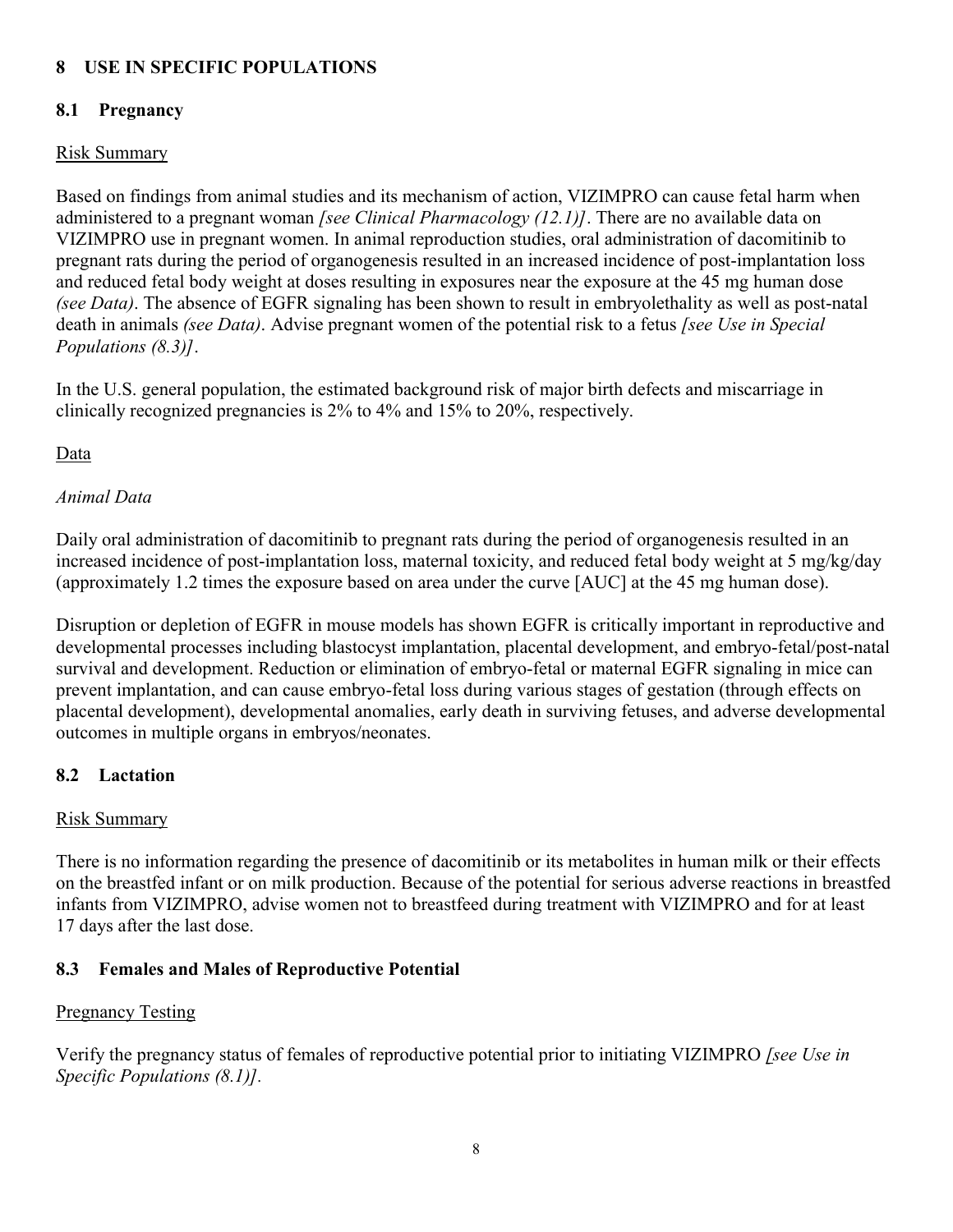### **8 USE IN SPECIFIC POPULATIONS**

### **8.1 Pregnancy**

#### Risk Summary

Based on findings from animal studies and its mechanism of action, VIZIMPRO can cause fetal harm when administered to a pregnant woman *[see Clinical Pharmacology (12.1)]*. There are no available data on VIZIMPRO use in pregnant women. In animal reproduction studies, oral administration of dacomitinib to pregnant rats during the period of organogenesis resulted in an increased incidence of post-implantation loss and reduced fetal body weight at doses resulting in exposures near the exposure at the 45 mg human dose *(see Data)*. The absence of EGFR signaling has been shown to result in embryolethality as well as post-natal death in animals *(see Data)*. Advise pregnant women of the potential risk to a fetus *[see Use in Special Populations (8.3)]*.

In the U.S. general population, the estimated background risk of major birth defects and miscarriage in clinically recognized pregnancies is 2% to 4% and 15% to 20%, respectively.

#### **Data**

## *Animal Data*

Daily oral administration of dacomitinib to pregnant rats during the period of organogenesis resulted in an increased incidence of post-implantation loss, maternal toxicity, and reduced fetal body weight at 5 mg/kg/day (approximately 1.2 times the exposure based on area under the curve [AUC] at the 45 mg human dose).

Disruption or depletion of EGFR in mouse models has shown EGFR is critically important in reproductive and developmental processes including blastocyst implantation, placental development, and embryo-fetal/post-natal survival and development. Reduction or elimination of embryo-fetal or maternal EGFR signaling in mice can prevent implantation, and can cause embryo-fetal loss during various stages of gestation (through effects on placental development), developmental anomalies, early death in surviving fetuses, and adverse developmental outcomes in multiple organs in embryos/neonates.

#### **8.2 Lactation**

#### Risk Summary

There is no information regarding the presence of dacomitinib or its metabolites in human milk or their effects on the breastfed infant or on milk production. Because of the potential for serious adverse reactions in breastfed infants from VIZIMPRO, advise women not to breastfeed during treatment with VIZIMPRO and for at least 17 days after the last dose.

#### **8.3 Females and Males of Reproductive Potential**

#### Pregnancy Testing

Verify the pregnancy status of females of reproductive potential prior to initiating VIZIMPRO *[see Use in Specific Populations (8.1)].*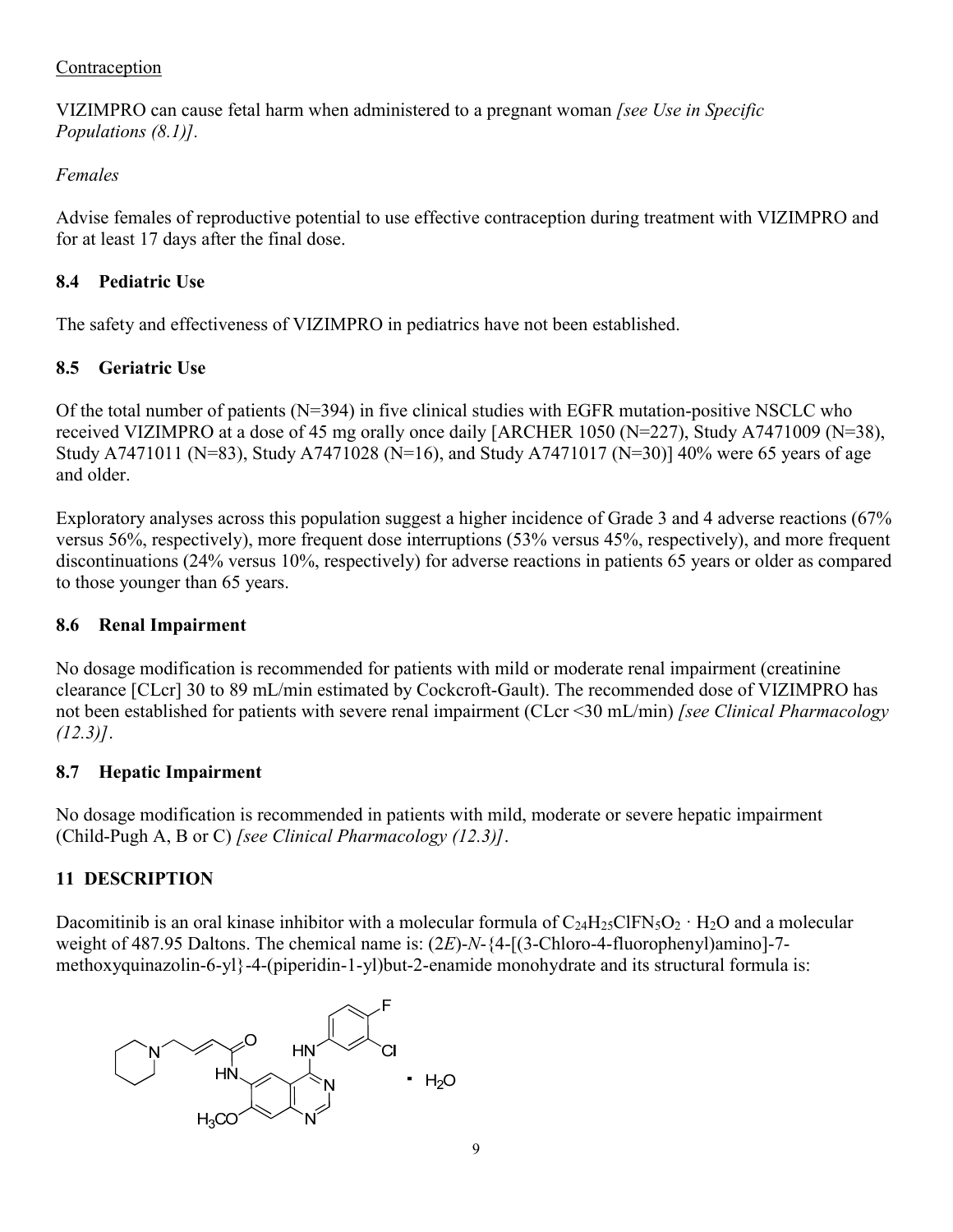### Contraception

VIZIMPRO can cause fetal harm when administered to a pregnant woman *[see Use in Specific Populations (8.1)].*

# *Females*

Advise females of reproductive potential to use effective contraception during treatment with VIZIMPRO and for at least 17 days after the final dose.

# **8.4 Pediatric Use**

The safety and effectiveness of VIZIMPRO in pediatrics have not been established.

# **8.5 Geriatric Use**

Of the total number of patients (N=394) in five clinical studies with EGFR mutation-positive NSCLC who received VIZIMPRO at a dose of 45 mg orally once daily [ARCHER 1050 (N=227), Study A7471009 (N=38), Study A7471011 (N=83), Study A7471028 (N=16), and Study A7471017 (N=30)] 40% were 65 years of age and older.

Exploratory analyses across this population suggest a higher incidence of Grade 3 and 4 adverse reactions (67% versus 56%, respectively), more frequent dose interruptions (53% versus 45%, respectively), and more frequent discontinuations (24% versus 10%, respectively) for adverse reactions in patients 65 years or older as compared to those younger than 65 years.

# **8.6 Renal Impairment**

No dosage modification is recommended for patients with mild or moderate renal impairment (creatinine clearance [CLcr] 30 to 89 mL/min estimated by Cockcroft-Gault). The recommended dose of VIZIMPRO has not been established for patients with severe renal impairment (CLcr <30 mL/min) *[see Clinical Pharmacology (12.3)]*.

# **8.7 Hepatic Impairment**

No dosage modification is recommended in patients with mild, moderate or severe hepatic impairment (Child-Pugh A, B or C) *[see Clinical Pharmacology (12.3)]*.

# **11 DESCRIPTION**

Dacomitinib is an oral kinase inhibitor with a molecular formula of  $C_{24}H_{25}CIFN_5O_2 \cdot H_2O$  and a molecular weight of 487.95 Daltons. The chemical name is: (2*E*)-*N*-{4-[(3-Chloro-4-fluorophenyl)amino]-7 methoxyquinazolin-6-yl}-4-(piperidin-1-yl)but-2-enamide monohydrate and its structural formula is:

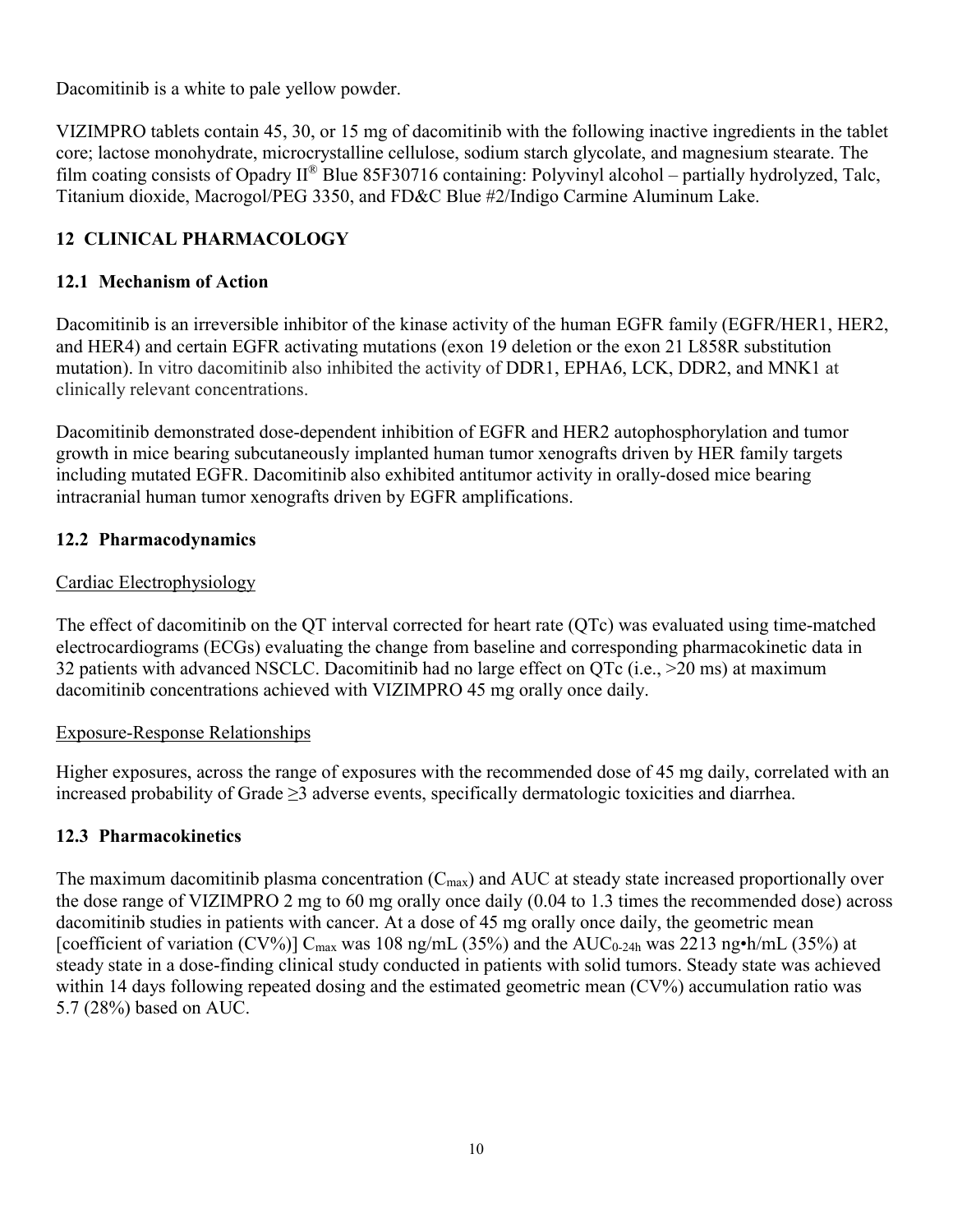Dacomitinib is a white to pale yellow powder.

VIZIMPRO tablets contain 45, 30, or 15 mg of dacomitinib with the following inactive ingredients in the tablet core; lactose monohydrate, microcrystalline cellulose, sodium starch glycolate, and magnesium stearate. The film coating consists of Opadry II® Blue 85F30716 containing: Polyvinyl alcohol – partially hydrolyzed, Talc, Titanium dioxide, Macrogol/PEG 3350, and FD&C Blue #2/Indigo Carmine Aluminum Lake.

## **12 CLINICAL PHARMACOLOGY**

### **12.1 Mechanism of Action**

Dacomitinib is an irreversible inhibitor of the kinase activity of the human EGFR family (EGFR/HER1, HER2, and HER4) and certain EGFR activating mutations (exon 19 deletion or the exon 21 L858R substitution mutation). In vitro dacomitinib also inhibited the activity of DDR1, EPHA6, LCK, DDR2, and MNK1 at clinically relevant concentrations.

Dacomitinib demonstrated dose-dependent inhibition of EGFR and HER2 autophosphorylation and tumor growth in mice bearing subcutaneously implanted human tumor xenografts driven by HER family targets including mutated EGFR. Dacomitinib also exhibited antitumor activity in orally-dosed mice bearing intracranial human tumor xenografts driven by EGFR amplifications.

#### **12.2 Pharmacodynamics**

#### Cardiac Electrophysiology

The effect of dacomitinib on the QT interval corrected for heart rate (QTc) was evaluated using time-matched electrocardiograms (ECGs) evaluating the change from baseline and corresponding pharmacokinetic data in 32 patients with advanced NSCLC. Dacomitinib had no large effect on QTc (i.e., >20 ms) at maximum dacomitinib concentrations achieved with VIZIMPRO 45 mg orally once daily.

#### Exposure-Response Relationships

Higher exposures, across the range of exposures with the recommended dose of 45 mg daily, correlated with an increased probability of Grade ≥3 adverse events, specifically dermatologic toxicities and diarrhea.

#### **12.3 Pharmacokinetics**

The maximum dacomitinib plasma concentration  $(C_{\text{max}})$  and AUC at steady state increased proportionally over the dose range of VIZIMPRO 2 mg to 60 mg orally once daily (0.04 to 1.3 times the recommended dose) across dacomitinib studies in patients with cancer. At a dose of 45 mg orally once daily, the geometric mean [coefficient of variation (CV%)]  $C_{\text{max}}$  was 108 ng/mL (35%) and the AUC<sub>0-24h</sub> was 2213 ng•h/mL (35%) at steady state in a dose-finding clinical study conducted in patients with solid tumors. Steady state was achieved within 14 days following repeated dosing and the estimated geometric mean (CV%) accumulation ratio was 5.7 (28%) based on AUC.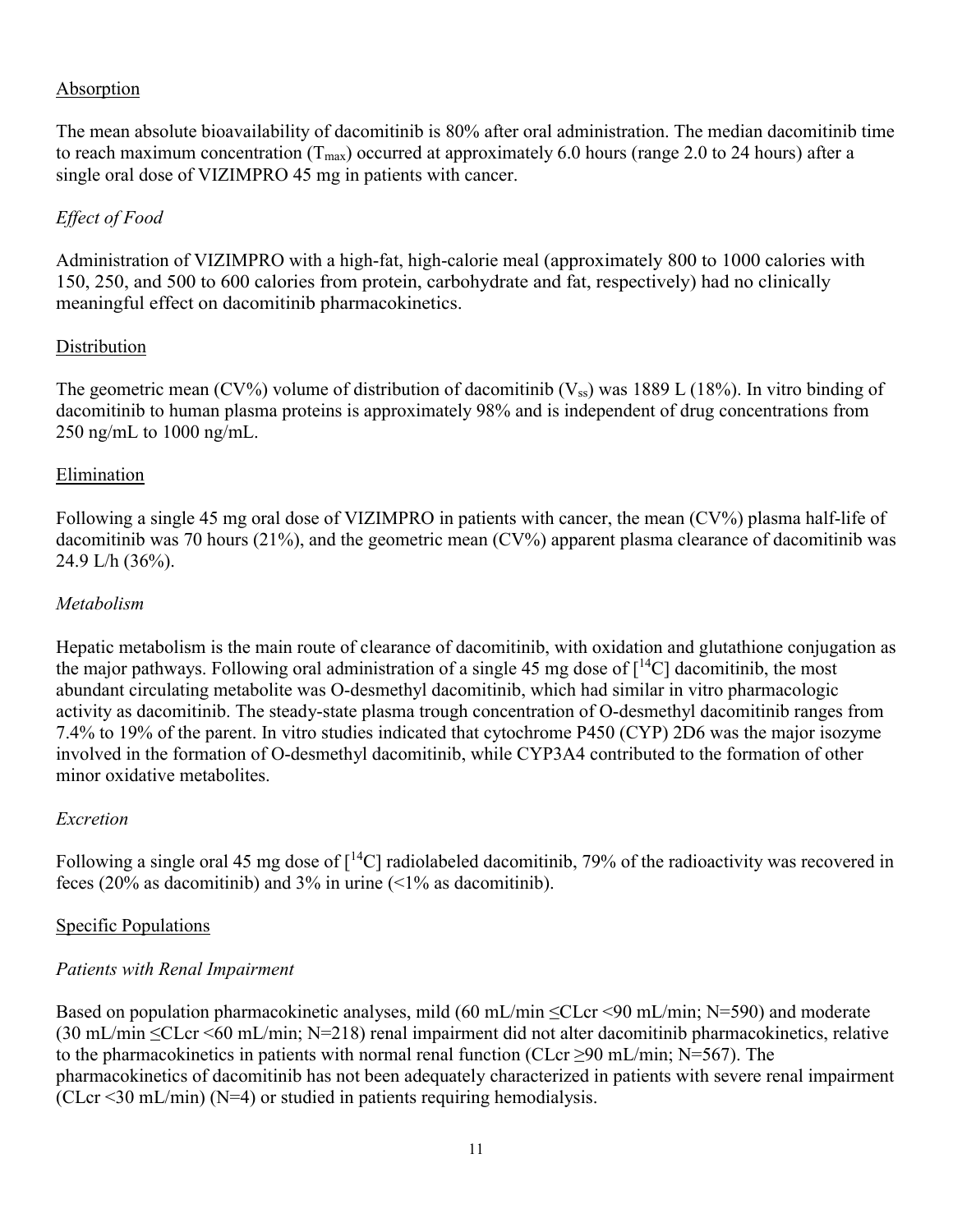#### Absorption

The mean absolute bioavailability of dacomitinib is 80% after oral administration. The median dacomitinib time to reach maximum concentration ( $T_{\text{max}}$ ) occurred at approximately 6.0 hours (range 2.0 to 24 hours) after a single oral dose of VIZIMPRO 45 mg in patients with cancer.

#### *Effect of Food*

Administration of VIZIMPRO with a high-fat, high-calorie meal (approximately 800 to 1000 calories with 150, 250, and 500 to 600 calories from protein, carbohydrate and fat, respectively) had no clinically meaningful effect on dacomitinib pharmacokinetics.

#### **Distribution**

The geometric mean (CV%) volume of distribution of dacomitinib ( $V_{ss}$ ) was 1889 L (18%). In vitro binding of dacomitinib to human plasma proteins is approximately 98% and is independent of drug concentrations from 250 ng/mL to 1000 ng/mL.

#### Elimination

Following a single 45 mg oral dose of VIZIMPRO in patients with cancer, the mean (CV%) plasma half-life of dacomitinib was 70 hours (21%), and the geometric mean (CV%) apparent plasma clearance of dacomitinib was 24.9 L/h (36%).

#### *Metabolism*

Hepatic metabolism is the main route of clearance of dacomitinib, with oxidation and glutathione conjugation as the major pathways. Following oral administration of a single 45 mg dose of  $\lceil {^{14}C} \rceil$  dacomitinib, the most abundant circulating metabolite was O-desmethyl dacomitinib, which had similar in vitro pharmacologic activity as dacomitinib. The steady-state plasma trough concentration of O-desmethyl dacomitinib ranges from 7.4% to 19% of the parent. In vitro studies indicated that cytochrome P450 (CYP) 2D6 was the major isozyme involved in the formation of O-desmethyl dacomitinib, while CYP3A4 contributed to the formation of other minor oxidative metabolites.

#### *Excretion*

Following a single oral 45 mg dose of  $\lceil {^{14}C} \rceil$  radiolabeled dacomitinib, 79% of the radioactivity was recovered in feces (20% as dacomitinib) and  $3\%$  in urine (<1% as dacomitinib).

#### Specific Populations

#### *Patients with Renal Impairment*

Based on population pharmacokinetic analyses, mild (60 mL/min ≤CLcr <90 mL/min; N=590) and moderate (30 mL/min ≤CLcr <60 mL/min; N=218) renal impairment did not alter dacomitinib pharmacokinetics, relative to the pharmacokinetics in patients with normal renal function (CLcr >90 mL/min; N=567). The pharmacokinetics of dacomitinib has not been adequately characterized in patients with severe renal impairment  $(CLcr < 30$  mL/min) (N=4) or studied in patients requiring hemodialysis.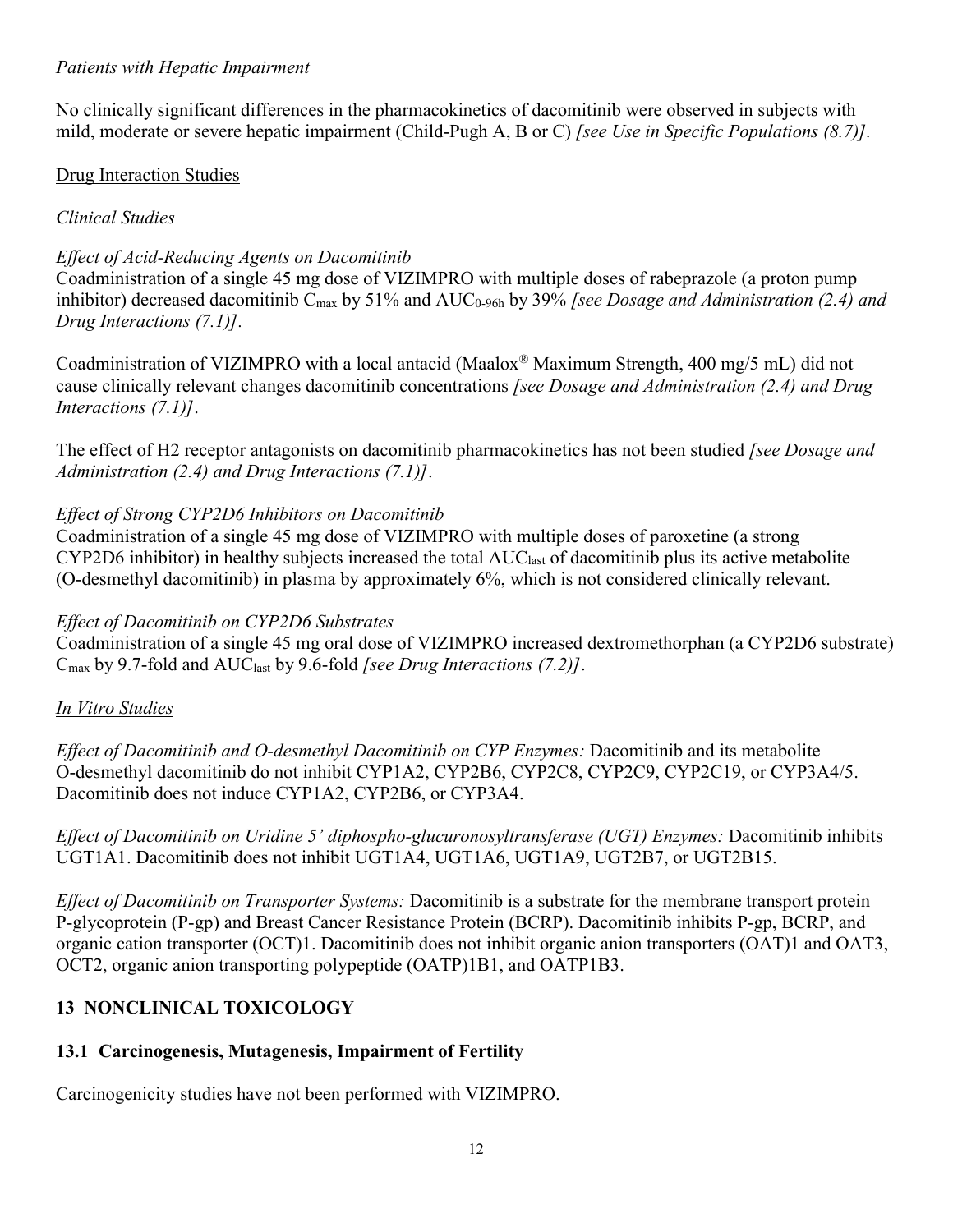#### *Patients with Hepatic Impairment*

No clinically significant differences in the pharmacokinetics of dacomitinib were observed in subjects with mild, moderate or severe hepatic impairment (Child-Pugh A, B or C) *[see Use in Specific Populations (8.7)].*

### Drug Interaction Studies

## *Clinical Studies*

# *Effect of Acid-Reducing Agents on Dacomitinib*

Coadministration of a single 45 mg dose of VIZIMPRO with multiple doses of rabeprazole (a proton pump inhibitor) decreased dacomitinib C<sub>max</sub> by 51% and AUC<sub>0-96h</sub> by 39% *[see Dosage and Administration (2.4) and Drug Interactions (7.1)].*

Coadministration of VIZIMPRO with a local antacid (Maalox® Maximum Strength, 400 mg/5 mL) did not cause clinically relevant changes dacomitinib concentrations *[see Dosage and Administration (2.4) and Drug Interactions (7.1)]*.

The effect of H2 receptor antagonists on dacomitinib pharmacokinetics has not been studied *[see Dosage and Administration (2.4) and Drug Interactions (7.1)]*.

## *Effect of Strong CYP2D6 Inhibitors on Dacomitinib*

Coadministration of a single 45 mg dose of VIZIMPRO with multiple doses of paroxetine (a strong  $CYP2D6$  inhibitor) in healthy subjects increased the total  $AUC<sub>last</sub>$  of dacomitinib plus its active metabolite (O-desmethyl dacomitinib) in plasma by approximately 6%, which is not considered clinically relevant.

## *Effect of Dacomitinib on CYP2D6 Substrates*

Coadministration of a single 45 mg oral dose of VIZIMPRO increased dextromethorphan (a CYP2D6 substrate) Cmax by 9.7-fold and AUClast by 9.6-fold *[see Drug Interactions (7.2)]*.

## *In Vitro Studies*

*Effect of Dacomitinib and O-desmethyl Dacomitinib on CYP Enzymes:* Dacomitinib and its metabolite O-desmethyl dacomitinib do not inhibit CYP1A2, CYP2B6, CYP2C8, CYP2C9, CYP2C19, or CYP3A4/5. Dacomitinib does not induce CYP1A2, CYP2B6, or CYP3A4.

*Effect of Dacomitinib on Uridine 5' diphospho-glucuronosyltransferase (UGT) Enzymes:* Dacomitinib inhibits UGT1A1. Dacomitinib does not inhibit UGT1A4, UGT1A6, UGT1A9, UGT2B7, or UGT2B15.

*Effect of Dacomitinib on Transporter Systems:* Dacomitinib is a substrate for the membrane transport protein P-glycoprotein (P-gp) and Breast Cancer Resistance Protein (BCRP). Dacomitinib inhibits P-gp, BCRP, and organic cation transporter (OCT)1. Dacomitinib does not inhibit organic anion transporters (OAT)1 and OAT3, OCT2, organic anion transporting polypeptide (OATP)1B1, and OATP1B3.

## **13 NONCLINICAL TOXICOLOGY**

## **13.1 Carcinogenesis, Mutagenesis, Impairment of Fertility**

Carcinogenicity studies have not been performed with VIZIMPRO.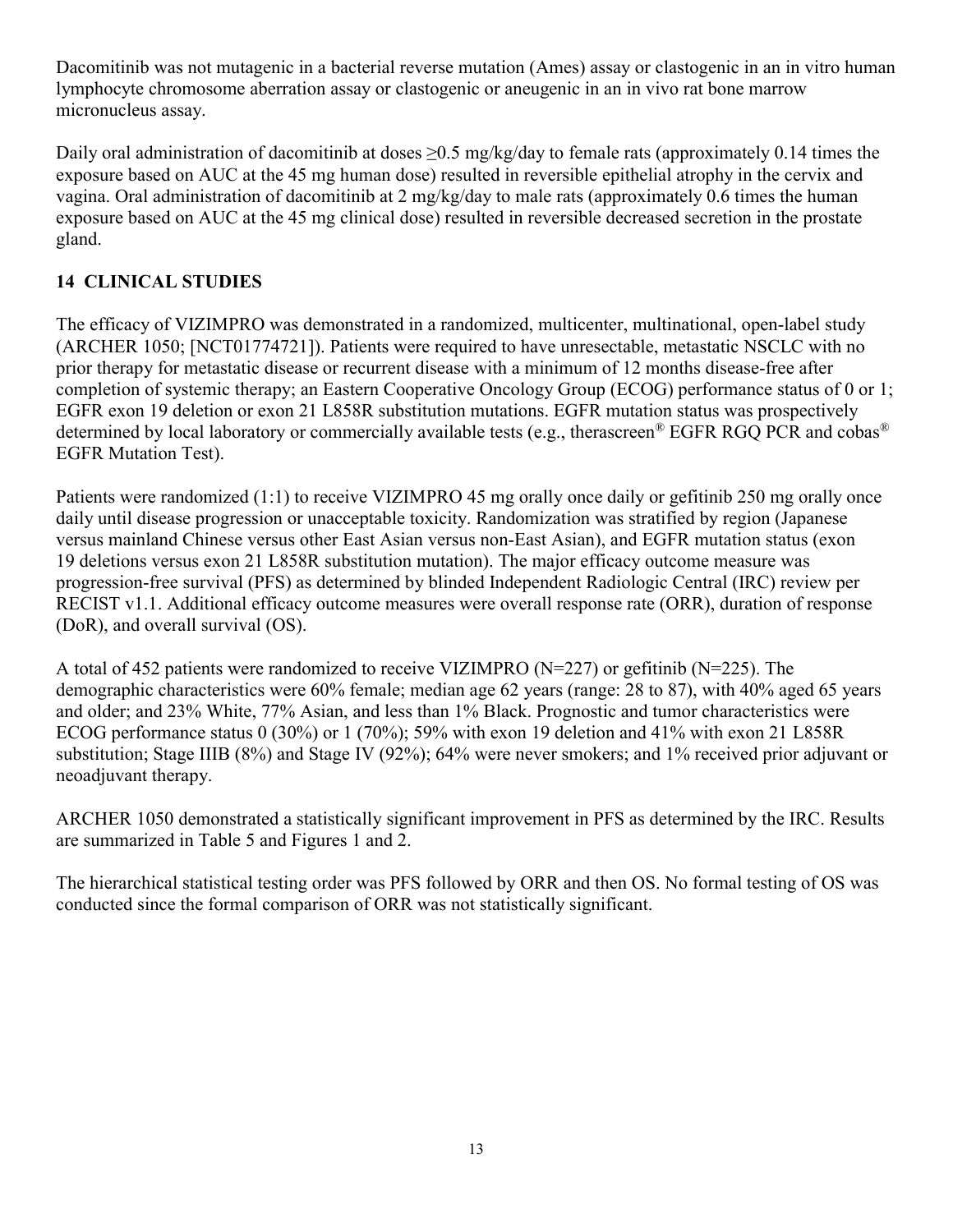Dacomitinib was not mutagenic in a bacterial reverse mutation (Ames) assay or clastogenic in an in vitro human lymphocyte chromosome aberration assay or clastogenic or aneugenic in an in vivo rat bone marrow micronucleus assay.

Daily oral administration of dacomitinib at doses  $\geq$ 0.5 mg/kg/day to female rats (approximately 0.14 times the exposure based on AUC at the 45 mg human dose) resulted in reversible epithelial atrophy in the cervix and vagina. Oral administration of dacomitinib at  $2 \text{ mg/kg/day}$  to male rats (approximately 0.6 times the human exposure based on AUC at the 45 mg clinical dose) resulted in reversible decreased secretion in the prostate gland.

# **14 CLINICAL STUDIES**

The efficacy of VIZIMPRO was demonstrated in a randomized, multicenter, multinational, open-label study (ARCHER 1050; [NCT01774721]). Patients were required to have unresectable, metastatic NSCLC with no prior therapy for metastatic disease or recurrent disease with a minimum of 12 months disease-free after completion of systemic therapy; an Eastern Cooperative Oncology Group (ECOG) performance status of 0 or 1; EGFR exon 19 deletion or exon 21 L858R substitution mutations. EGFR mutation status was prospectively determined by local laboratory or commercially available tests (e.g., therascreen® EGFR RGQ PCR and cobas® EGFR Mutation Test).

Patients were randomized (1:1) to receive VIZIMPRO 45 mg orally once daily or gefitinib 250 mg orally once daily until disease progression or unacceptable toxicity. Randomization was stratified by region (Japanese versus mainland Chinese versus other East Asian versus non-East Asian), and EGFR mutation status (exon 19 deletions versus exon 21 L858R substitution mutation). The major efficacy outcome measure was progression-free survival (PFS) as determined by blinded Independent Radiologic Central (IRC) review per RECIST v1.1. Additional efficacy outcome measures were overall response rate (ORR), duration of response (DoR), and overall survival (OS).

A total of 452 patients were randomized to receive VIZIMPRO (N=227) or gefitinib (N=225). The demographic characteristics were 60% female; median age 62 years (range: 28 to 87), with 40% aged 65 years and older; and 23% White, 77% Asian, and less than 1% Black. Prognostic and tumor characteristics were ECOG performance status 0 (30%) or 1 (70%); 59% with exon 19 deletion and 41% with exon 21 L858R substitution; Stage IIIB (8%) and Stage IV (92%); 64% were never smokers; and 1% received prior adjuvant or neoadjuvant therapy.

ARCHER 1050 demonstrated a statistically significant improvement in PFS as determined by the IRC. Results are summarized in Table 5 and Figures 1 and 2.

The hierarchical statistical testing order was PFS followed by ORR and then OS. No formal testing of OS was conducted since the formal comparison of ORR was not statistically significant.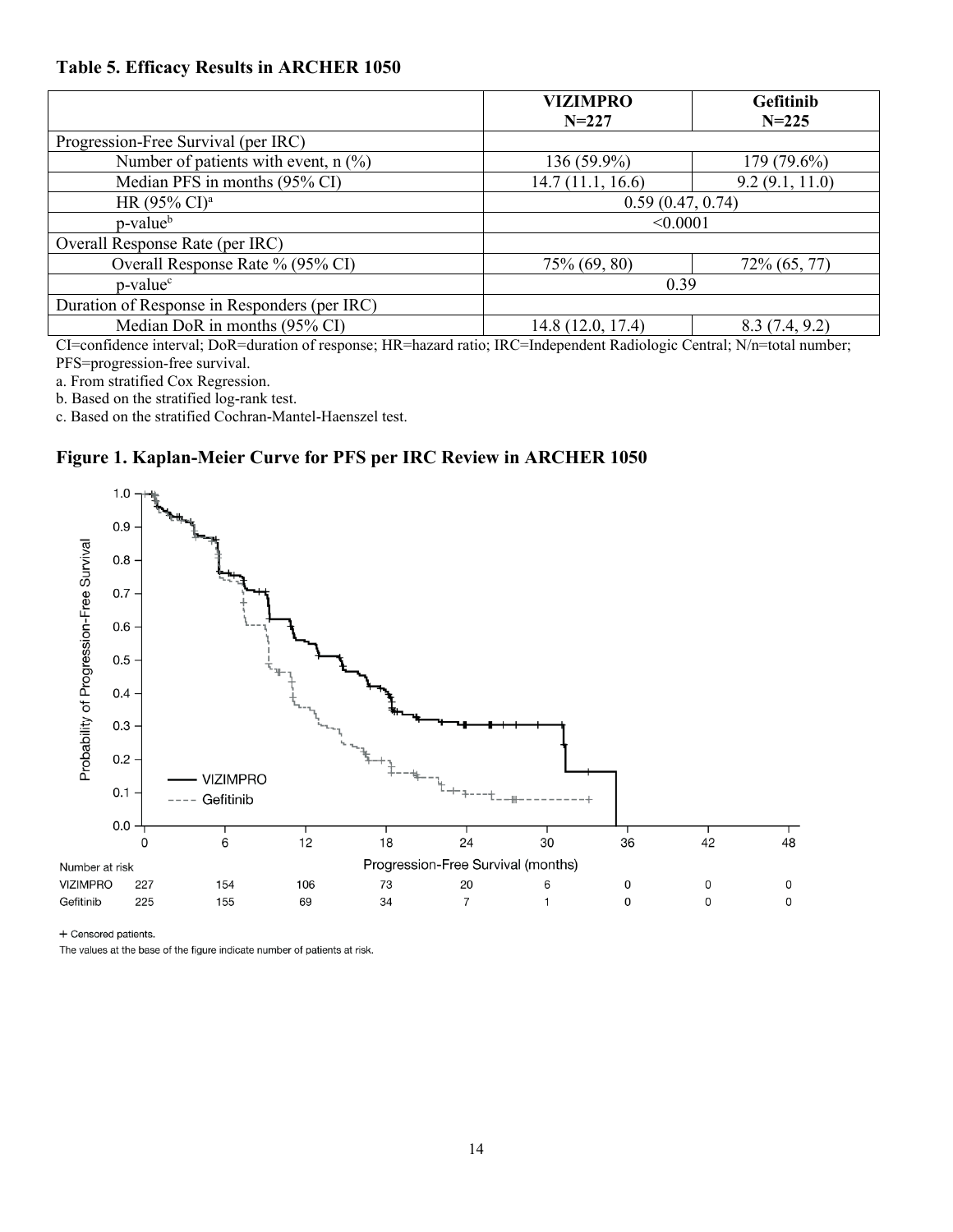#### **Table 5. Efficacy Results in ARCHER 1050**

|                                              | <b>VIZIMPRO</b>   | Gefitinib      |  |
|----------------------------------------------|-------------------|----------------|--|
|                                              | $N = 227$         | $N = 225$      |  |
| Progression-Free Survival (per IRC)          |                   |                |  |
| Number of patients with event, $n$ (%)       | 136 (59.9%)       | 179 (79.6%)    |  |
| Median PFS in months (95% CI)                | 14.7(11.1, 16.6)  | 9.2(9.1, 11.0) |  |
| HR $(95\% \text{ CI})^{\text{a}}$            | 0.59(0.47, 0.74)  |                |  |
| p-value <sup>b</sup>                         | < 0.0001          |                |  |
| Overall Response Rate (per IRC)              |                   |                |  |
| Overall Response Rate % (95% CI)             | 75% (69, 80)      | 72% (65, 77)   |  |
| p-value <sup>c</sup>                         | 0.39              |                |  |
| Duration of Response in Responders (per IRC) |                   |                |  |
| Median DoR in months (95% CI)                | 14.8 (12.0, 17.4) | 8.3(7.4, 9.2)  |  |

CI=confidence interval; DoR=duration of response; HR=hazard ratio; IRC=Independent Radiologic Central; N/n=total number; PFS=progression-free survival.

a. From stratified Cox Regression.

b. Based on the stratified log-rank test.

c. Based on the stratified Cochran-Mantel-Haenszel test.

#### **Figure 1. Kaplan-Meier Curve for PFS per IRC Review in ARCHER 1050**



+ Censored patients.

The values at the base of the figure indicate number of patients at risk.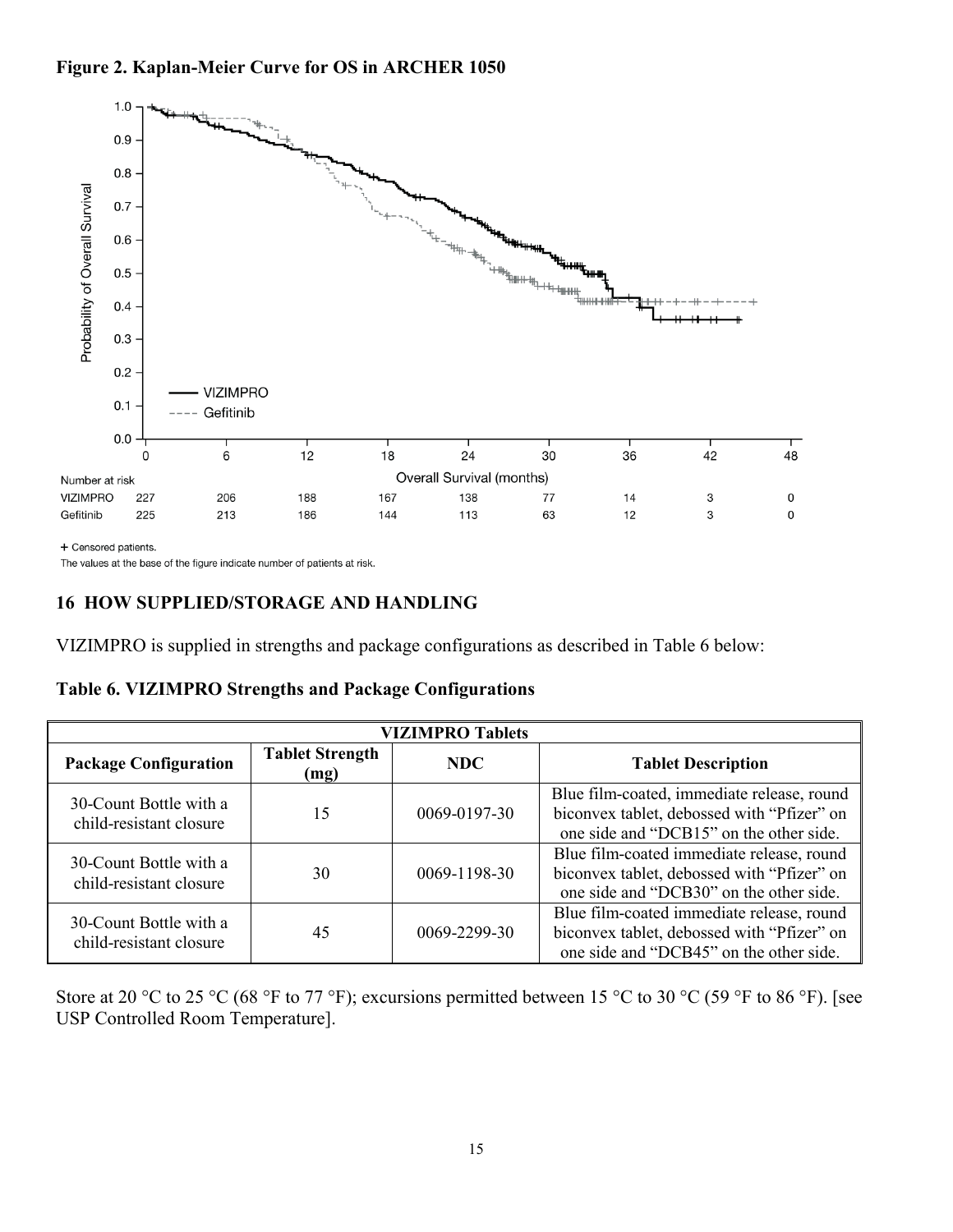

+ Censored patients.

The values at the base of the figure indicate number of patients at risk.

## **16 HOW SUPPLIED/STORAGE AND HANDLING**

VIZIMPRO is supplied in strengths and package configurations as described in Table 6 below:

|  | Table 6. VIZIMPRO Strengths and Package Configurations |  |
|--|--------------------------------------------------------|--|
|  |                                                        |  |

| <b>VIZIMPRO Tablets</b>                           |                                |              |                                                                                                                                     |  |
|---------------------------------------------------|--------------------------------|--------------|-------------------------------------------------------------------------------------------------------------------------------------|--|
| <b>Package Configuration</b>                      | <b>Tablet Strength</b><br>(mg) | <b>NDC</b>   | <b>Tablet Description</b>                                                                                                           |  |
| 30-Count Bottle with a<br>child-resistant closure | 15                             | 0069-0197-30 | Blue film-coated, immediate release, round<br>biconvex tablet, debossed with "Pfizer" on<br>one side and "DCB15" on the other side. |  |
| 30-Count Bottle with a<br>child-resistant closure | 30                             | 0069-1198-30 | Blue film-coated immediate release, round<br>biconvex tablet, debossed with "Pfizer" on<br>one side and "DCB30" on the other side.  |  |
| 30-Count Bottle with a<br>child-resistant closure | 45                             | 0069-2299-30 | Blue film-coated immediate release, round<br>biconvex tablet, debossed with "Pfizer" on<br>one side and "DCB45" on the other side.  |  |

Store at 20 °C to 25 °C (68 °F to 77 °F); excursions permitted between 15 °C to 30 °C (59 °F to 86 °F). [see USP Controlled Room Temperature].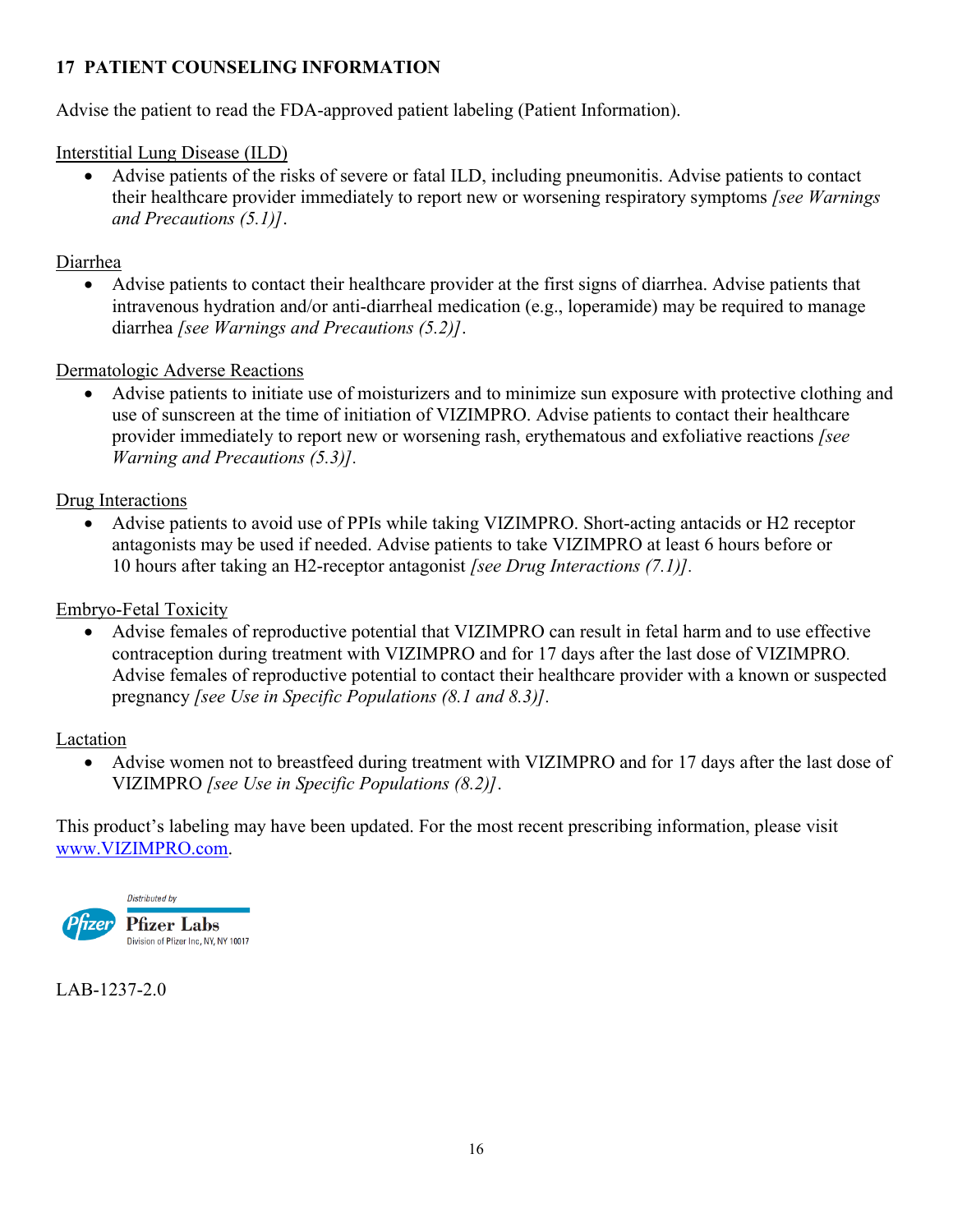# **17 PATIENT COUNSELING INFORMATION**

Advise the patient to read the FDA-approved patient labeling (Patient Information).

### Interstitial Lung Disease (ILD)

 Advise patients of the risks of severe or fatal ILD, including pneumonitis. Advise patients to contact their healthcare provider immediately to report new or worsening respiratory symptoms *[see Warnings and Precautions (5.1)]*.

### Diarrhea

 Advise patients to contact their healthcare provider at the first signs of diarrhea. Advise patients that intravenous hydration and/or anti-diarrheal medication (e.g., loperamide) may be required to manage diarrhea *[see Warnings and Precautions (5.2)]*.

## Dermatologic Adverse Reactions

 Advise patients to initiate use of moisturizers and to minimize sun exposure with protective clothing and use of sunscreen at the time of initiation of VIZIMPRO. Advise patients to contact their healthcare provider immediately to report new or worsening rash, erythematous and exfoliative reactions *[see Warning and Precautions (5.3)].*

## Drug Interactions

 Advise patients to avoid use of PPIs while taking VIZIMPRO. Short-acting antacids or H2 receptor antagonists may be used if needed. Advise patients to take VIZIMPRO at least 6 hours before or 10 hours after taking an H2-receptor antagonist *[see Drug Interactions (7.1)].* 

## Embryo-Fetal Toxicity

 Advise females of reproductive potential that VIZIMPRO can result in fetal harm and to use effective contraception during treatment with VIZIMPRO and for 17 days after the last dose of VIZIMPRO. Advise females of reproductive potential to contact their healthcare provider with a known or suspected pregnancy *[see Use in Specific Populations (8.1 and 8.3)].*

#### Lactation

 Advise women not to breastfeed during treatment with VIZIMPRO and for 17 days after the last dose of VIZIMPRO *[see Use in Specific Populations (8.2)]*.

This product's labeling may have been updated. For the most recent prescribing information, please visit [www.VIZIMPRO.com.](http://www.tradename.com/)



## LAB-1237-2.0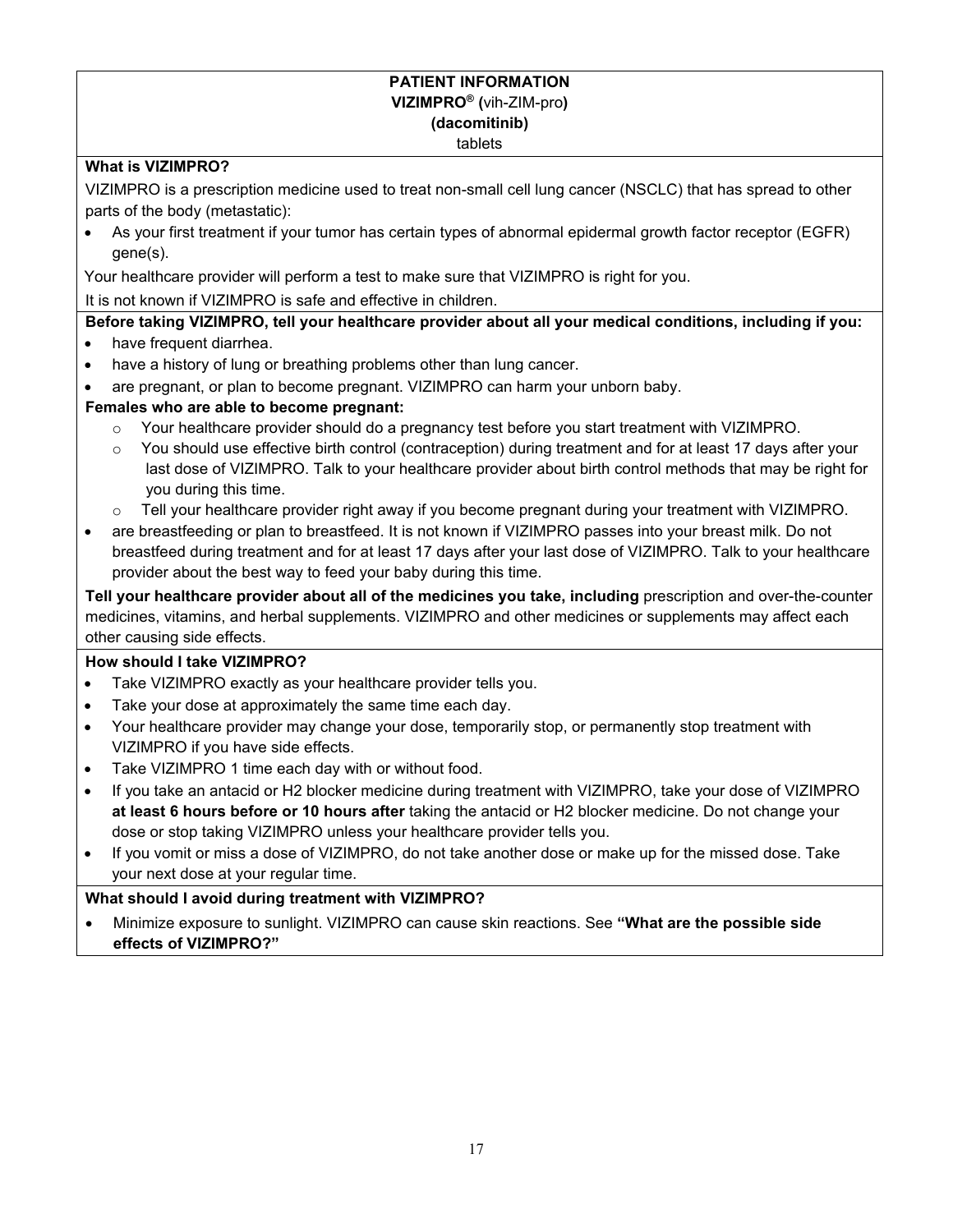#### **PATIENT INFORMATION VIZIMPRO® (**vih-ZIM-pro**) (dacomitinib)** tablets

#### **What is VIZIMPRO?**

VIZIMPRO is a prescription medicine used to treat non-small cell lung cancer (NSCLC) that has spread to other parts of the body (metastatic):

 As your first treatment if your tumor has certain types of abnormal epidermal growth factor receptor (EGFR) gene(s).

Your healthcare provider will perform a test to make sure that VIZIMPRO is right for you.

It is not known if VIZIMPRO is safe and effective in children.

**Before taking VIZIMPRO, tell your healthcare provider about all your medical conditions, including if you:**

- have frequent diarrhea.
- have a history of lung or breathing problems other than lung cancer.
- are pregnant, or plan to become pregnant. VIZIMPRO can harm your unborn baby.

#### **Females who are able to become pregnant:**

- o Your healthcare provider should do a pregnancy test before you start treatment with VIZIMPRO.
- o You should use effective birth control (contraception) during treatment and for at least 17 days after your last dose of VIZIMPRO. Talk to your healthcare provider about birth control methods that may be right for you during this time.
- o Tell your healthcare provider right away if you become pregnant during your treatment with VIZIMPRO.
- are breastfeeding or plan to breastfeed. It is not known if VIZIMPRO passes into your breast milk. Do not breastfeed during treatment and for at least 17 days after your last dose of VIZIMPRO. Talk to your healthcare provider about the best way to feed your baby during this time.

**Tell your healthcare provider about all of the medicines you take, including** prescription and over-the-counter medicines, vitamins, and herbal supplements. VIZIMPRO and other medicines or supplements may affect each other causing side effects.

#### **How should I take VIZIMPRO?**

- Take VIZIMPRO exactly as your healthcare provider tells you.
- Take your dose at approximately the same time each day.
- Your healthcare provider may change your dose, temporarily stop, or permanently stop treatment with VIZIMPRO if you have side effects.
- Take VIZIMPRO 1 time each day with or without food.
- If you take an antacid or H2 blocker medicine during treatment with VIZIMPRO, take your dose of VIZIMPRO **at least 6 hours before or 10 hours after** taking the antacid or H2 blocker medicine. Do not change your dose or stop taking VIZIMPRO unless your healthcare provider tells you.
- If you vomit or miss a dose of VIZIMPRO, do not take another dose or make up for the missed dose. Take your next dose at your regular time.

#### **What should I avoid during treatment with VIZIMPRO?**

 Minimize exposure to sunlight. VIZIMPRO can cause skin reactions. See **"What are the possible side effects of VIZIMPRO?"**